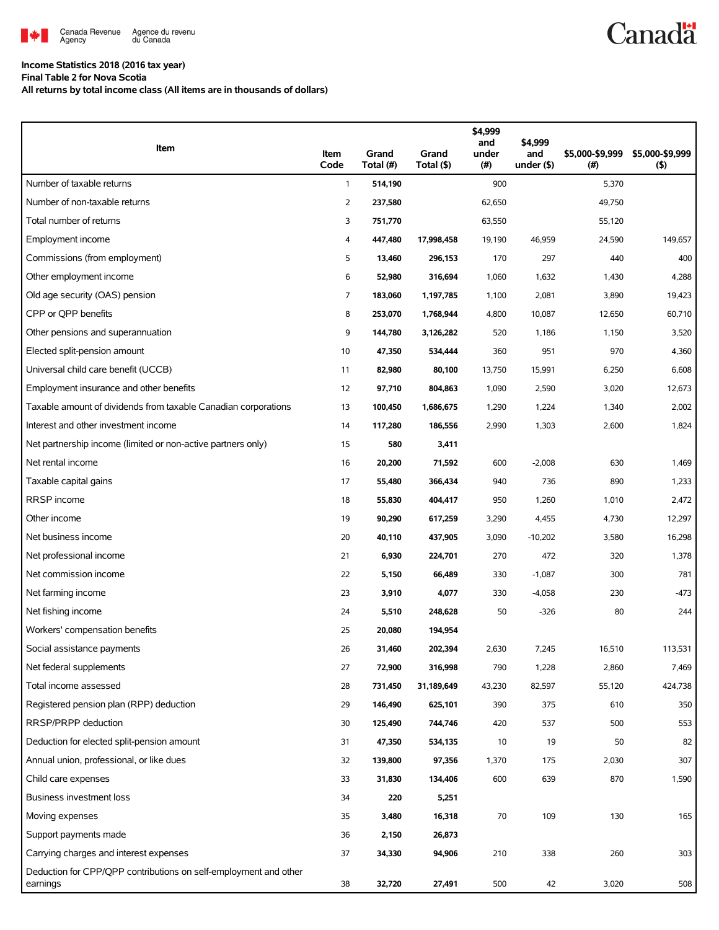

## **Income Statistics 2018 (2016 tax year)**

**Final Table 2 for Nova Scotia**

**All returns by total income class (All items are in thousands of dollars)**

| Item                                                                         | Item<br>Code   | Grand<br>Total (#) | Grand<br>Total (\$) | \$4,999<br>and<br>under<br>(#) | \$4,999<br>and<br>under $($ \$) | \$5,000-\$9,999<br>(# ) | \$5,000-\$9,999<br>$($ \$) |
|------------------------------------------------------------------------------|----------------|--------------------|---------------------|--------------------------------|---------------------------------|-------------------------|----------------------------|
| Number of taxable returns                                                    | $\mathbf{1}$   | 514,190            |                     | 900                            |                                 | 5,370                   |                            |
| Number of non-taxable returns                                                | $\overline{2}$ | 237,580            |                     | 62,650                         |                                 | 49,750                  |                            |
| Total number of returns                                                      | 3              | 751,770            |                     | 63,550                         |                                 | 55,120                  |                            |
| Employment income                                                            | 4              | 447,480            | 17,998,458          | 19,190                         | 46,959                          | 24,590                  | 149,657                    |
| Commissions (from employment)                                                | 5              | 13,460             | 296,153             | 170                            | 297                             | 440                     | 400                        |
| Other employment income                                                      | 6              | 52,980             | 316,694             | 1,060                          | 1,632                           | 1,430                   | 4,288                      |
| Old age security (OAS) pension                                               | $\overline{7}$ | 183,060            | 1,197,785           | 1,100                          | 2,081                           | 3,890                   | 19,423                     |
| CPP or OPP benefits                                                          | 8              | 253,070            | 1,768,944           | 4,800                          | 10,087                          | 12,650                  | 60,710                     |
| Other pensions and superannuation                                            | 9              | 144,780            | 3,126,282           | 520                            | 1,186                           | 1,150                   | 3,520                      |
| Elected split-pension amount                                                 | 10             | 47,350             | 534,444             | 360                            | 951                             | 970                     | 4,360                      |
| Universal child care benefit (UCCB)                                          | 11             | 82,980             | 80,100              | 13,750                         | 15,991                          | 6,250                   | 6,608                      |
| Employment insurance and other benefits                                      | 12             | 97,710             | 804,863             | 1,090                          | 2,590                           | 3,020                   | 12,673                     |
| Taxable amount of dividends from taxable Canadian corporations               | 13             | 100,450            | 1,686,675           | 1,290                          | 1,224                           | 1,340                   | 2,002                      |
| Interest and other investment income                                         | 14             | 117,280            | 186,556             | 2,990                          | 1,303                           | 2,600                   | 1,824                      |
| Net partnership income (limited or non-active partners only)                 | 15             | 580                | 3,411               |                                |                                 |                         |                            |
| Net rental income                                                            | 16             | 20,200             | 71,592              | 600                            | $-2,008$                        | 630                     | 1,469                      |
| Taxable capital gains                                                        | 17             | 55,480             | 366,434             | 940                            | 736                             | 890                     | 1,233                      |
| RRSP income                                                                  | 18             | 55,830             | 404,417             | 950                            | 1,260                           | 1,010                   | 2,472                      |
| Other income                                                                 | 19             | 90,290             | 617,259             | 3,290                          | 4,455                           | 4,730                   | 12,297                     |
| Net business income                                                          | 20             | 40,110             | 437,905             | 3,090                          | $-10,202$                       | 3,580                   | 16,298                     |
| Net professional income                                                      | 21             | 6,930              | 224,701             | 270                            | 472                             | 320                     | 1,378                      |
| Net commission income                                                        | 22             | 5,150              | 66,489              | 330                            | $-1,087$                        | 300                     | 781                        |
| Net farming income                                                           | 23             | 3,910              | 4,077               | 330                            | $-4,058$                        | 230                     | $-473$                     |
| Net fishing income                                                           | 24             | 5,510              | 248,628             | 50                             | $-326$                          | 80                      | 244                        |
| Workers' compensation benefits                                               | 25             | 20,080             | 194,954             |                                |                                 |                         |                            |
| Social assistance payments                                                   | 26             | 31,460             | 202,394             | 2,630                          | 7,245                           | 16,510                  | 113,531                    |
| Net federal supplements                                                      | 27             | 72,900             | 316,998             | 790                            | 1,228                           | 2,860                   | 7,469                      |
| Total income assessed                                                        | 28             | 731,450            | 31,189,649          | 43,230                         | 82,597                          | 55,120                  | 424,738                    |
| Registered pension plan (RPP) deduction                                      | 29             | 146,490            | 625,101             | 390                            | 375                             | 610                     | 350                        |
| RRSP/PRPP deduction                                                          | 30             | 125,490            | 744,746             | 420                            | 537                             | 500                     | 553                        |
| Deduction for elected split-pension amount                                   | 31             | 47,350             | 534,135             | 10                             | 19                              | 50                      | 82                         |
| Annual union, professional, or like dues                                     | 32             | 139,800            | 97,356              | 1,370                          | 175                             | 2,030                   | 307                        |
| Child care expenses                                                          | 33             | 31,830             | 134,406             | 600                            | 639                             | 870                     | 1,590                      |
| Business investment loss                                                     | 34             | 220                | 5,251               |                                |                                 |                         |                            |
| Moving expenses                                                              | 35             | 3,480              | 16,318              | 70                             | 109                             | 130                     | 165                        |
| Support payments made                                                        | 36             | 2,150              | 26,873              |                                |                                 |                         |                            |
| Carrying charges and interest expenses                                       | 37             | 34,330             | 94,906              | 210                            | 338                             | 260                     | 303                        |
| Deduction for CPP/QPP contributions on self-employment and other<br>earnings | 38             | 32,720             | 27,491              | 500                            | 42                              | 3,020                   | 508                        |

**Canadä**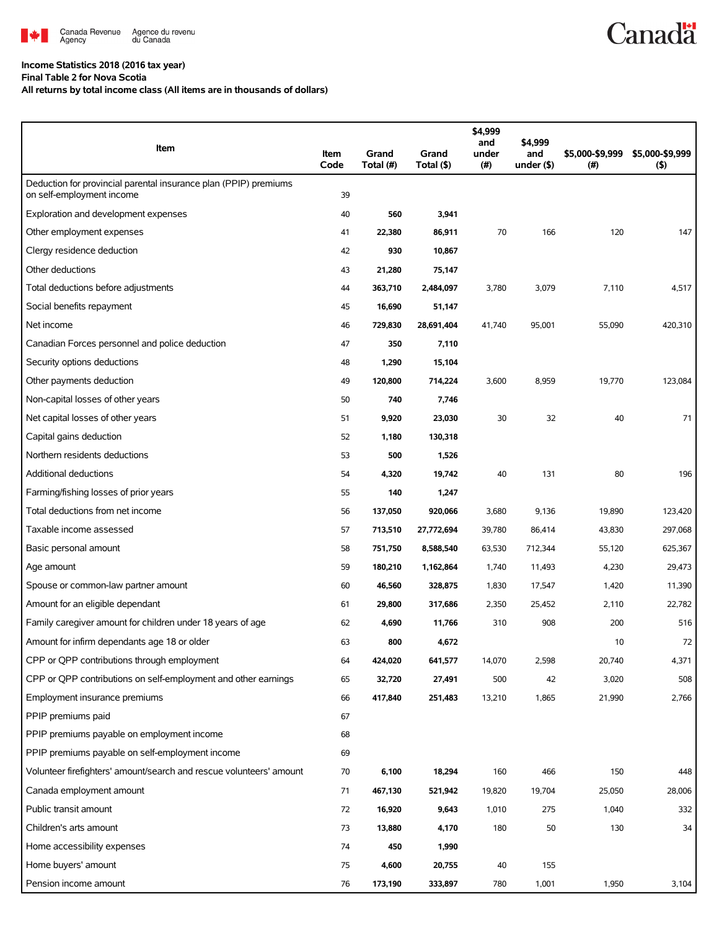

## **Income Statistics 2018 (2016 tax year)**

**Final Table 2 for Nova Scotia**

**All returns by total income class (All items are in thousands of dollars)**

| Item                                                                                          | Item<br>Code | Grand<br>Total (#) | Grand<br>Total (\$) | \$4,999<br>and<br>under<br>(#) | \$4,999<br>and<br>under $($ \$) | \$5,000-\$9,999<br>(#) | \$5,000-\$9,999<br>(5) |
|-----------------------------------------------------------------------------------------------|--------------|--------------------|---------------------|--------------------------------|---------------------------------|------------------------|------------------------|
| Deduction for provincial parental insurance plan (PPIP) premiums<br>on self-employment income | 39           |                    |                     |                                |                                 |                        |                        |
| Exploration and development expenses                                                          | 40           | 560                | 3,941               |                                |                                 |                        |                        |
| Other employment expenses                                                                     | 41           | 22,380             | 86,911              | 70                             | 166                             | 120                    | 147                    |
| Clergy residence deduction                                                                    | 42           | 930                | 10,867              |                                |                                 |                        |                        |
| Other deductions                                                                              | 43           | 21,280             | 75,147              |                                |                                 |                        |                        |
| Total deductions before adjustments                                                           | 44           | 363,710            | 2,484,097           | 3,780                          | 3,079                           | 7,110                  | 4,517                  |
| Social benefits repayment                                                                     | 45           | 16,690             | 51,147              |                                |                                 |                        |                        |
| Net income                                                                                    | 46           | 729,830            | 28,691,404          | 41,740                         | 95,001                          | 55,090                 | 420,310                |
| Canadian Forces personnel and police deduction                                                | 47           | 350                | 7,110               |                                |                                 |                        |                        |
| Security options deductions                                                                   | 48           | 1,290              | 15,104              |                                |                                 |                        |                        |
| Other payments deduction                                                                      | 49           | 120,800            | 714,224             | 3,600                          | 8,959                           | 19,770                 | 123,084                |
| Non-capital losses of other years                                                             | 50           | 740                | 7,746               |                                |                                 |                        |                        |
| Net capital losses of other years                                                             | 51           | 9,920              | 23,030              | 30                             | 32                              | 40                     | 71                     |
| Capital gains deduction                                                                       | 52           | 1,180              | 130,318             |                                |                                 |                        |                        |
| Northern residents deductions                                                                 | 53           | 500                | 1,526               |                                |                                 |                        |                        |
| Additional deductions                                                                         | 54           | 4,320              | 19,742              | 40                             | 131                             | 80                     | 196                    |
| Farming/fishing losses of prior years                                                         | 55           | 140                | 1,247               |                                |                                 |                        |                        |
| Total deductions from net income                                                              | 56           | 137,050            | 920,066             | 3,680                          | 9,136                           | 19,890                 | 123,420                |
| Taxable income assessed                                                                       | 57           | 713,510            | 27,772,694          | 39,780                         | 86,414                          | 43,830                 | 297,068                |
| Basic personal amount                                                                         | 58           | 751,750            | 8,588,540           | 63,530                         | 712,344                         | 55,120                 | 625,367                |
| Age amount                                                                                    | 59           | 180,210            | 1,162,864           | 1,740                          | 11,493                          | 4,230                  | 29,473                 |
| Spouse or common-law partner amount                                                           | 60           | 46,560             | 328,875             | 1,830                          | 17,547                          | 1,420                  | 11,390                 |
| Amount for an eligible dependant                                                              | 61           | 29,800             | 317,686             | 2,350                          | 25,452                          | 2,110                  | 22,782                 |
| Family caregiver amount for children under 18 years of age                                    | 62           | 4,690              | 11,766              | 310                            | 908                             | 200                    | 516                    |
| Amount for infirm dependants age 18 or older                                                  | 63           | 800                | 4,672               |                                |                                 | 10                     | 72                     |
| CPP or QPP contributions through employment                                                   | 64           | 424,020            | 641,577             | 14,070                         | 2,598                           | 20,740                 | 4,371                  |
| CPP or QPP contributions on self-employment and other earnings                                | 65           | 32,720             | 27,491              | 500                            | 42                              | 3,020                  | 508                    |
| Employment insurance premiums                                                                 | 66           | 417,840            | 251,483             | 13,210                         | 1,865                           | 21,990                 | 2,766                  |
| PPIP premiums paid                                                                            | 67           |                    |                     |                                |                                 |                        |                        |
| PPIP premiums payable on employment income                                                    | 68           |                    |                     |                                |                                 |                        |                        |
| PPIP premiums payable on self-employment income                                               | 69           |                    |                     |                                |                                 |                        |                        |
| Volunteer firefighters' amount/search and rescue volunteers' amount                           | 70           | 6,100              | 18,294              | 160                            | 466                             | 150                    | 448                    |
| Canada employment amount                                                                      | 71           | 467,130            | 521,942             | 19,820                         | 19,704                          | 25,050                 | 28,006                 |
| Public transit amount                                                                         | 72           | 16,920             | 9,643               | 1,010                          | 275                             | 1,040                  | 332                    |
| Children's arts amount                                                                        | 73           | 13,880             | 4,170               | 180                            | 50                              | 130                    | 34                     |
| Home accessibility expenses                                                                   | 74           | 450                | 1,990               |                                |                                 |                        |                        |
| Home buyers' amount                                                                           | 75           | 4,600              | 20,755              | 40                             | 155                             |                        |                        |
| Pension income amount                                                                         | 76           | 173,190            | 333,897             | 780                            | 1,001                           | 1,950                  | 3,104                  |

**Canadä**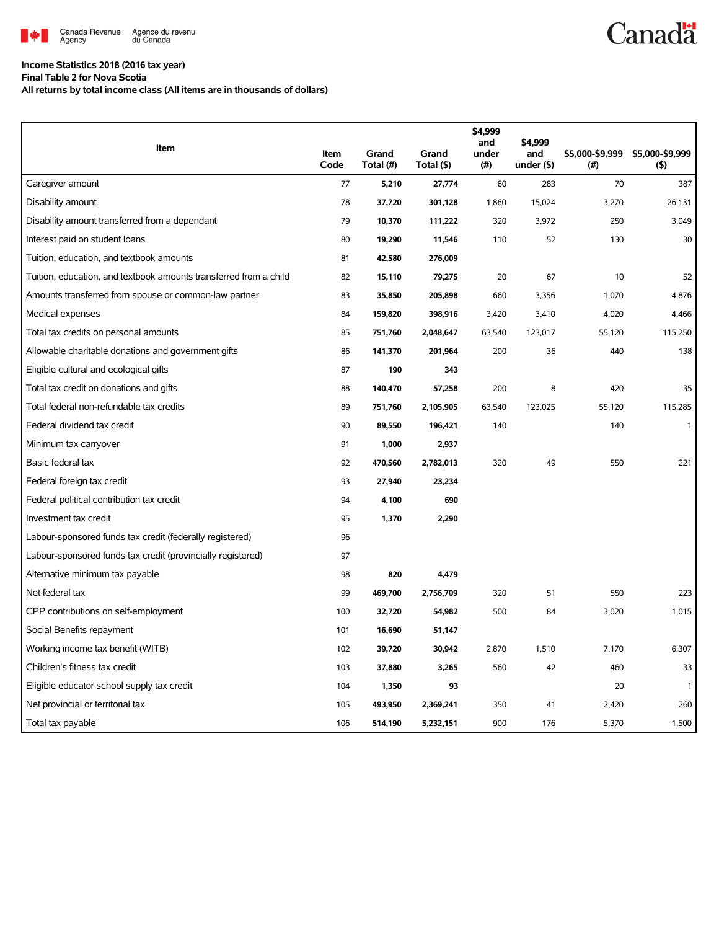

## **Income Statistics 2018 (2016 tax year)**

**Final Table 2 for Nova Scotia**

**All returns by total income class (All items are in thousands of dollars)**

| Item                                                              |              |                    |                     | \$4,999<br>and | \$4,999              |                        |                        |
|-------------------------------------------------------------------|--------------|--------------------|---------------------|----------------|----------------------|------------------------|------------------------|
|                                                                   | Item<br>Code | Grand<br>Total (#) | Grand<br>Total (\$) | under<br>(#)   | and<br>under $($ \$) | \$5,000-\$9,999<br>(#) | \$5,000-\$9,999<br>(5) |
| Caregiver amount                                                  | 77           | 5,210              | 27,774              | 60             | 283                  | 70                     | 387                    |
| Disability amount                                                 | 78           | 37,720             | 301,128             | 1,860          | 15,024               | 3,270                  | 26,131                 |
| Disability amount transferred from a dependant                    | 79           | 10,370             | 111,222             | 320            | 3,972                | 250                    | 3,049                  |
| Interest paid on student loans                                    | 80           | 19,290             | 11,546              | 110            | 52                   | 130                    | 30                     |
| Tuition, education, and textbook amounts                          | 81           | 42,580             | 276,009             |                |                      |                        |                        |
| Tuition, education, and textbook amounts transferred from a child | 82           | 15,110             | 79,275              | 20             | 67                   | 10                     | 52                     |
| Amounts transferred from spouse or common-law partner             | 83           | 35,850             | 205,898             | 660            | 3,356                | 1,070                  | 4,876                  |
| Medical expenses                                                  | 84           | 159,820            | 398,916             | 3,420          | 3,410                | 4,020                  | 4,466                  |
| Total tax credits on personal amounts                             | 85           | 751,760            | 2,048,647           | 63,540         | 123,017              | 55,120                 | 115,250                |
| Allowable charitable donations and government gifts               | 86           | 141,370            | 201,964             | 200            | 36                   | 440                    | 138                    |
| Eligible cultural and ecological gifts                            | 87           | 190                | 343                 |                |                      |                        |                        |
| Total tax credit on donations and gifts                           | 88           | 140,470            | 57,258              | 200            | 8                    | 420                    | 35                     |
| Total federal non-refundable tax credits                          | 89           | 751,760            | 2,105,905           | 63,540         | 123,025              | 55,120                 | 115,285                |
| Federal dividend tax credit                                       | 90           | 89,550             | 196,421             | 140            |                      | 140                    | $\mathbf{1}$           |
| Minimum tax carryover                                             | 91           | 1,000              | 2,937               |                |                      |                        |                        |
| Basic federal tax                                                 | 92           | 470,560            | 2,782,013           | 320            | 49                   | 550                    | 221                    |
| Federal foreign tax credit                                        | 93           | 27,940             | 23,234              |                |                      |                        |                        |
| Federal political contribution tax credit                         | 94           | 4,100              | 690                 |                |                      |                        |                        |
| Investment tax credit                                             | 95           | 1,370              | 2,290               |                |                      |                        |                        |
| Labour-sponsored funds tax credit (federally registered)          | 96           |                    |                     |                |                      |                        |                        |
| Labour-sponsored funds tax credit (provincially registered)       | 97           |                    |                     |                |                      |                        |                        |
| Alternative minimum tax payable                                   | 98           | 820                | 4,479               |                |                      |                        |                        |
| Net federal tax                                                   | 99           | 469,700            | 2,756,709           | 320            | 51                   | 550                    | 223                    |
| CPP contributions on self-employment                              | 100          | 32,720             | 54,982              | 500            | 84                   | 3,020                  | 1,015                  |
| Social Benefits repayment                                         | 101          | 16,690             | 51,147              |                |                      |                        |                        |
| Working income tax benefit (WITB)                                 | 102          | 39,720             | 30,942              | 2,870          | 1,510                | 7,170                  | 6,307                  |
| Children's fitness tax credit                                     | 103          | 37,880             | 3,265               | 560            | 42                   | 460                    | 33                     |
| Eligible educator school supply tax credit                        | 104          | 1,350              | 93                  |                |                      | 20                     | -1                     |
| Net provincial or territorial tax                                 | 105          | 493,950            | 2,369,241           | 350            | 41                   | 2,420                  | 260                    |
| Total tax payable                                                 | 106          | 514,190            | 5,232,151           | 900            | 176                  | 5,370                  | 1,500                  |

**Canadä**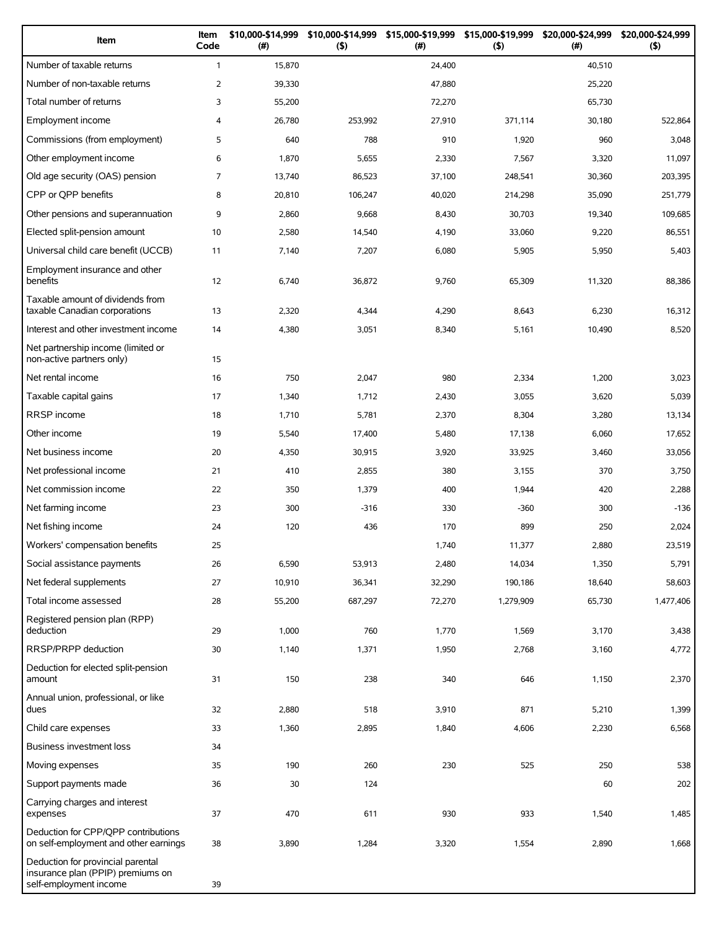| Item                                                                                             | Item<br>Code   | \$10,000-\$14,999<br>(#) | \$10,000-\$14,999<br>(5) | \$15,000-\$19,999 \$15,000-\$19,999<br>(#) | (5)       | \$20,000-\$24,999<br>(#) | \$20,000-\$24,999<br>(5) |
|--------------------------------------------------------------------------------------------------|----------------|--------------------------|--------------------------|--------------------------------------------|-----------|--------------------------|--------------------------|
| Number of taxable returns                                                                        | $\mathbf{1}$   | 15,870                   |                          | 24,400                                     |           | 40,510                   |                          |
| Number of non-taxable returns                                                                    | 2              | 39,330                   |                          | 47,880                                     |           | 25,220                   |                          |
| Total number of returns                                                                          | 3              | 55,200                   |                          | 72,270                                     |           | 65,730                   |                          |
| Employment income                                                                                | 4              | 26,780                   | 253,992                  | 27,910                                     | 371,114   | 30,180                   | 522,864                  |
| Commissions (from employment)                                                                    | 5              | 640                      | 788                      | 910                                        | 1,920     | 960                      | 3,048                    |
| Other employment income                                                                          | 6              | 1,870                    | 5,655                    | 2,330                                      | 7,567     | 3,320                    | 11,097                   |
| Old age security (OAS) pension                                                                   | $\overline{7}$ | 13,740                   | 86,523                   | 37,100                                     | 248,541   | 30,360                   | 203,395                  |
| CPP or QPP benefits                                                                              | 8              | 20,810                   | 106,247                  | 40,020                                     | 214,298   | 35,090                   | 251,779                  |
| Other pensions and superannuation                                                                | 9              | 2,860                    | 9,668                    | 8,430                                      | 30,703    | 19,340                   | 109,685                  |
| Elected split-pension amount                                                                     | 10             | 2,580                    | 14,540                   | 4,190                                      | 33,060    | 9,220                    | 86,551                   |
| Universal child care benefit (UCCB)                                                              | 11             | 7,140                    | 7,207                    | 6,080                                      | 5,905     | 5,950                    | 5,403                    |
| Employment insurance and other<br>benefits                                                       | 12             | 6,740                    | 36,872                   | 9,760                                      | 65,309    | 11,320                   | 88,386                   |
| Taxable amount of dividends from<br>taxable Canadian corporations                                | 13             | 2,320                    | 4,344                    | 4,290                                      | 8,643     | 6,230                    | 16,312                   |
| Interest and other investment income                                                             | 14             | 4,380                    | 3,051                    | 8,340                                      | 5,161     | 10,490                   | 8,520                    |
| Net partnership income (limited or<br>non-active partners only)                                  | 15             |                          |                          |                                            |           |                          |                          |
| Net rental income                                                                                | 16             | 750                      | 2,047                    | 980                                        | 2,334     | 1,200                    | 3,023                    |
| Taxable capital gains                                                                            | 17             | 1,340                    | 1,712                    | 2,430                                      | 3,055     | 3,620                    | 5,039                    |
| <b>RRSP</b> income                                                                               | 18             | 1,710                    | 5,781                    | 2,370                                      | 8,304     | 3,280                    | 13,134                   |
| Other income                                                                                     | 19             | 5,540                    | 17,400                   | 5,480                                      | 17,138    | 6,060                    | 17,652                   |
| Net business income                                                                              | 20             | 4,350                    | 30,915                   | 3,920                                      | 33,925    | 3,460                    | 33,056                   |
| Net professional income                                                                          | 21             | 410                      | 2,855                    | 380                                        | 3,155     | 370                      | 3,750                    |
| Net commission income                                                                            | 22             | 350                      | 1,379                    | 400                                        | 1,944     | 420                      | 2,288                    |
| Net farming income                                                                               | 23             | 300                      | $-316$                   | 330                                        | $-360$    | 300                      | $-136$                   |
| Net fishing income                                                                               | 24             | 120                      | 436                      | 170                                        | 899       | 250                      | 2,024                    |
| Workers' compensation benefits                                                                   | 25             |                          |                          | 1,740                                      | 11,377    | 2,880                    | 23,519                   |
| Social assistance payments                                                                       | 26             | 6,590                    | 53,913                   | 2,480                                      | 14,034    | 1,350                    | 5,791                    |
| Net federal supplements                                                                          | 27             | 10,910                   | 36,341                   | 32,290                                     | 190,186   | 18,640                   | 58,603                   |
| Total income assessed                                                                            | 28             | 55,200                   | 687,297                  | 72,270                                     | 1,279,909 | 65,730                   | 1,477,406                |
| Registered pension plan (RPP)<br>deduction                                                       | 29             | 1,000                    | 760                      | 1,770                                      | 1,569     | 3,170                    | 3,438                    |
| RRSP/PRPP deduction                                                                              | 30             | 1,140                    | 1,371                    | 1,950                                      | 2,768     | 3,160                    | 4,772                    |
| Deduction for elected split-pension<br>amount                                                    | 31             | 150                      | 238                      | 340                                        | 646       | 1,150                    | 2,370                    |
| Annual union, professional, or like<br>dues                                                      | 32             | 2,880                    | 518                      | 3,910                                      | 871       | 5,210                    | 1,399                    |
| Child care expenses                                                                              | 33             | 1,360                    | 2,895                    | 1,840                                      | 4,606     | 2,230                    | 6,568                    |
| Business investment loss                                                                         | 34             |                          |                          |                                            |           |                          |                          |
| Moving expenses                                                                                  | 35             | 190                      | 260                      | 230                                        | 525       | 250                      | 538                      |
| Support payments made                                                                            | 36             | 30                       | 124                      |                                            |           | 60                       | 202                      |
| Carrying charges and interest<br>expenses                                                        | 37             | 470                      | 611                      | 930                                        | 933       | 1,540                    | 1,485                    |
| Deduction for CPP/QPP contributions<br>on self-employment and other earnings                     | 38             | 3,890                    | 1,284                    | 3,320                                      | 1,554     | 2,890                    | 1,668                    |
| Deduction for provincial parental<br>insurance plan (PPIP) premiums on<br>self-employment income | 39             |                          |                          |                                            |           |                          |                          |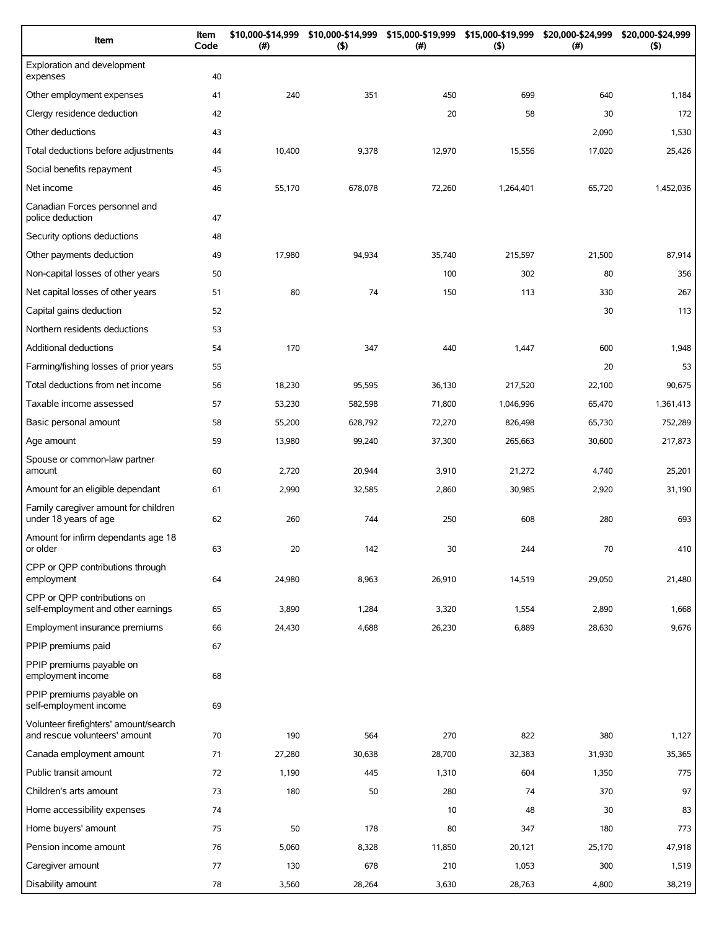| Item                                                                   | Item<br>Code | \$10,000-\$14,999<br>(#) | \$10,000-\$14,999<br>(5) | \$15,000-\$19,999<br>(# ) | \$15,000-\$19,999<br>(5) | \$20,000-\$24,999<br>$(\#)$ | \$20,000-\$24,999<br>(5) |
|------------------------------------------------------------------------|--------------|--------------------------|--------------------------|---------------------------|--------------------------|-----------------------------|--------------------------|
| Exploration and development<br>expenses                                | 40           |                          |                          |                           |                          |                             |                          |
| Other employment expenses                                              | 41           | 240                      | 351                      | 450                       | 699                      | 640                         | 1,184                    |
| Clergy residence deduction                                             | 42           |                          |                          | 20                        | 58                       | 30                          | 172                      |
| Other deductions                                                       | 43           |                          |                          |                           |                          | 2,090                       | 1,530                    |
| Total deductions before adjustments                                    | 44           | 10,400                   | 9,378                    | 12,970                    | 15,556                   | 17,020                      | 25,426                   |
| Social benefits repayment                                              | 45           |                          |                          |                           |                          |                             |                          |
| Net income                                                             | 46           | 55,170                   | 678,078                  | 72,260                    | 1,264,401                | 65,720                      | 1,452,036                |
| Canadian Forces personnel and<br>police deduction                      | 47           |                          |                          |                           |                          |                             |                          |
| Security options deductions                                            | 48           |                          |                          |                           |                          |                             |                          |
| Other payments deduction                                               | 49           | 17,980                   | 94,934                   | 35,740                    | 215,597                  | 21,500                      | 87,914                   |
| Non-capital losses of other years                                      | 50           |                          |                          | 100                       | 302                      | 80                          | 356                      |
| Net capital losses of other years                                      | 51           | 80                       | 74                       | 150                       | 113                      | 330                         | 267                      |
| Capital gains deduction                                                | 52           |                          |                          |                           |                          | 30                          | 113                      |
| Northern residents deductions                                          | 53           |                          |                          |                           |                          |                             |                          |
| Additional deductions                                                  | 54           | 170                      | 347                      | 440                       | 1,447                    | 600                         | 1,948                    |
| Farming/fishing losses of prior years                                  | 55           |                          |                          |                           |                          | 20                          | 53                       |
| Total deductions from net income                                       | 56           | 18,230                   | 95,595                   | 36,130                    | 217,520                  | 22,100                      | 90,675                   |
| Taxable income assessed                                                | 57           | 53,230                   | 582,598                  | 71,800                    | 1,046,996                | 65,470                      | 1,361,413                |
| Basic personal amount                                                  | 58           | 55,200                   | 628,792                  | 72,270                    | 826,498                  | 65,730                      | 752,289                  |
| Age amount                                                             | 59           | 13,980                   | 99,240                   | 37,300                    | 265,663                  | 30,600                      | 217,873                  |
| Spouse or common-law partner<br>amount                                 | 60           | 2,720                    | 20,944                   | 3,910                     | 21,272                   | 4,740                       | 25,201                   |
| Amount for an eligible dependant                                       | 61           | 2,990                    | 32,585                   | 2,860                     | 30,985                   | 2,920                       | 31,190                   |
| Family caregiver amount for children<br>under 18 years of age          | 62           | 260                      | 744                      | 250                       | 608                      | 280                         | 693                      |
| Amount for infirm dependants age 18<br>or older                        | 63           | 20                       | 142                      | 30                        | 244                      | 70                          | 410                      |
| CPP or QPP contributions through<br>employment                         | 64           | 24,980                   | 8,963                    | 26,910                    | 14,519                   | 29,050                      | 21,480                   |
| CPP or OPP contributions on<br>self-employment and other earnings      | 65           | 3,890                    | 1,284                    | 3,320                     | 1,554                    | 2,890                       | 1,668                    |
| Employment insurance premiums                                          | 66           | 24,430                   | 4,688                    | 26,230                    | 6,889                    | 28,630                      | 9,676                    |
| PPIP premiums paid                                                     | 67           |                          |                          |                           |                          |                             |                          |
| PPIP premiums payable on<br>employment income                          | 68           |                          |                          |                           |                          |                             |                          |
| PPIP premiums payable on<br>self-employment income                     | 69           |                          |                          |                           |                          |                             |                          |
| Volunteer firefighters' amount/search<br>and rescue volunteers' amount | 70           | 190                      | 564                      | 270                       | 822                      | 380                         | 1,127                    |
| Canada employment amount                                               | 71           | 27,280                   | 30,638                   | 28,700                    | 32,383                   | 31,930                      | 35,365                   |
| Public transit amount                                                  | 72           | 1,190                    | 445                      | 1,310                     | 604                      | 1,350                       | 775                      |
| Children's arts amount                                                 | 73           | 180                      | 50                       | 280                       | 74                       | 370                         | 97                       |
| Home accessibility expenses                                            | 74           |                          |                          | 10                        | 48                       | 30                          | 83                       |
| Home buyers' amount                                                    | 75           | 50                       | 178                      | 80                        | 347                      | 180                         | 773                      |
| Pension income amount                                                  | 76           | 5,060                    | 8,328                    | 11,850                    | 20,121                   | 25,170                      | 47,918                   |
| Caregiver amount                                                       | 77           | 130                      | 678                      | 210                       | 1,053                    | 300                         | 1,519                    |
| Disability amount                                                      | 78           | 3,560                    | 28,264                   | 3,630                     | 28,763                   | 4,800                       | 38,219                   |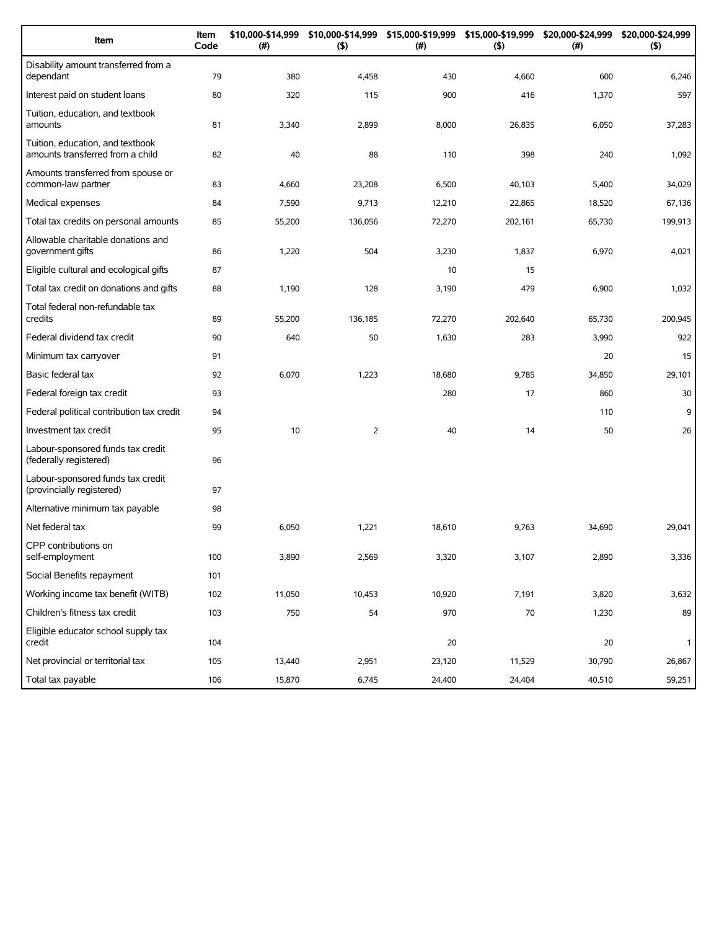| Item                                                                 | Item<br>Code | \$10,000-\$14,999<br>(#) | \$10,000-\$14,999<br>(5) | \$15,000-\$19,999<br>(#) | \$15,000-\$19,999<br>(5) | \$20,000-\$24,999<br>(#) | \$20,000-\$24,999<br>(5) |
|----------------------------------------------------------------------|--------------|--------------------------|--------------------------|--------------------------|--------------------------|--------------------------|--------------------------|
| Disability amount transferred from a<br>dependant                    | 79           | 380                      | 4,458                    | 430                      | 4,660                    | 600                      | 6,246                    |
| Interest paid on student loans                                       | 80           | 320                      | 115                      | 900                      | 416                      | 1,370                    | 597                      |
| Tuition, education, and textbook<br>amounts                          | 81           | 3,340                    | 2,899                    | 8,000                    | 26,835                   | 6,050                    | 37,283                   |
| Tuition, education, and textbook<br>amounts transferred from a child | 82           | 40                       | 88                       | 110                      | 398                      | 240                      | 1,092                    |
| Amounts transferred from spouse or<br>common-law partner             | 83           | 4,660                    | 23,208                   | 6,500                    | 40,103                   | 5,400                    | 34,029                   |
| Medical expenses                                                     | 84           | 7,590                    | 9,713                    | 12,210                   | 22,865                   | 18,520                   | 67,136                   |
| Total tax credits on personal amounts                                | 85           | 55,200                   | 136,056                  | 72,270                   | 202,161                  | 65,730                   | 199,913                  |
| Allowable charitable donations and<br>government gifts               | 86           | 1,220                    | 504                      | 3,230                    | 1,837                    | 6,970                    | 4,021                    |
| Eligible cultural and ecological gifts                               | 87           |                          |                          | 10                       | 15                       |                          |                          |
| Total tax credit on donations and gifts                              | 88           | 1,190                    | 128                      | 3,190                    | 479                      | 6,900                    | 1,032                    |
| Total federal non-refundable tax<br>credits                          | 89           | 55,200                   | 136,185                  | 72,270                   | 202,640                  | 65,730                   | 200.945                  |
| Federal dividend tax credit                                          | 90           | 640                      | 50                       | 1,630                    | 283                      | 3,990                    | 922                      |
| Minimum tax carryover                                                | 91           |                          |                          |                          |                          | 20                       | 15                       |
| Basic federal tax                                                    | 92           | 6,070                    | 1,223                    | 18,680                   | 9,785                    | 34,850                   | 29,101                   |
| Federal foreign tax credit                                           | 93           |                          |                          | 280                      | 17                       | 860                      | 30                       |
| Federal political contribution tax credit                            | 94           |                          |                          |                          |                          | 110                      | 9                        |
| Investment tax credit                                                | 95           | 10                       | $\overline{2}$           | 40                       | 14                       | 50                       | 26                       |
| Labour-sponsored funds tax credit<br>(federally registered)          | 96           |                          |                          |                          |                          |                          |                          |
| Labour-sponsored funds tax credit<br>(provincially registered)       | 97           |                          |                          |                          |                          |                          |                          |
| Alternative minimum tax payable                                      | 98           |                          |                          |                          |                          |                          |                          |
| Net federal tax                                                      | 99           | 6,050                    | 1,221                    | 18,610                   | 9,763                    | 34,690                   | 29,041                   |
| CPP contributions on<br>self-employment                              | 100          | 3,890                    | 2,569                    | 3,320                    | 3,107                    | 2,890                    | 3,336                    |
| Social Benefits repayment                                            | 101          |                          |                          |                          |                          |                          |                          |
| Working income tax benefit (WITB)                                    | 102          | 11,050                   | 10,453                   | 10,920                   | 7,191                    | 3,820                    | 3,632                    |
| Children's fitness tax credit                                        | 103          | 750                      | 54                       | 970                      | 70                       | 1,230                    | 89                       |
| Eligible educator school supply tax<br>credit                        | 104          |                          |                          | 20                       |                          | 20                       | $\mathbf{1}$             |
| Net provincial or territorial tax                                    | 105          | 13,440                   | 2,951                    | 23,120                   | 11,529                   | 30,790                   | 26,867                   |
| Total tax payable                                                    | 106          | 15,870                   | 6,745                    | 24,400                   | 24,404                   | 40,510                   | 59,251                   |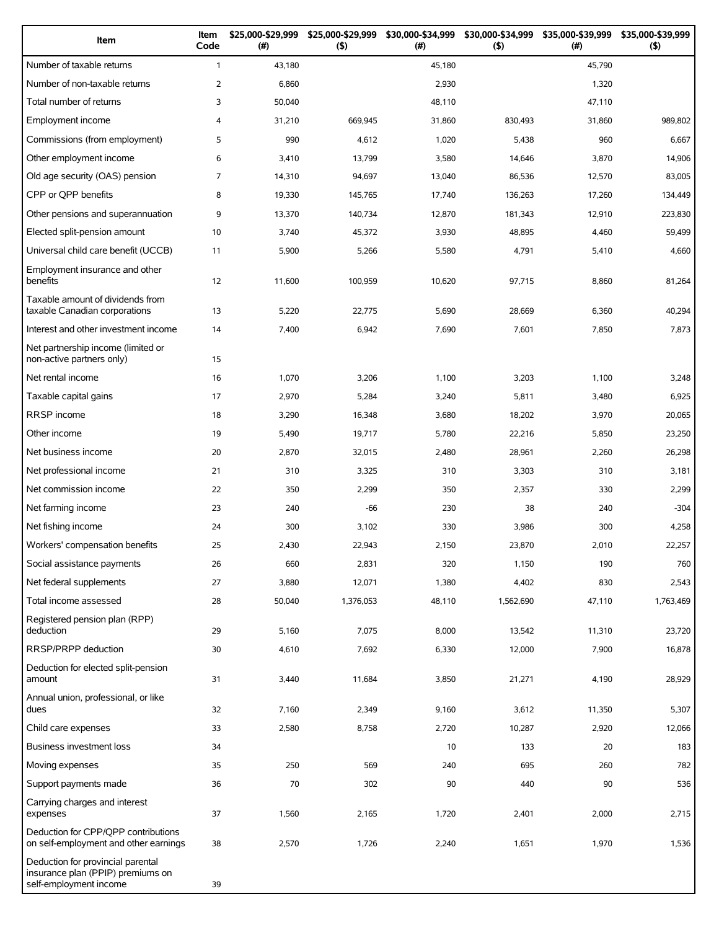| Item                                                                                             | Item<br>Code   | \$25,000-\$29,999<br>(#) | \$25,000-\$29,999<br>(5) | \$30,000-\$34,999<br>(#) | \$30,000-\$34,999<br>(5) | \$35,000-\$39,999<br>(#) | \$35,000-\$39,999<br>(5) |
|--------------------------------------------------------------------------------------------------|----------------|--------------------------|--------------------------|--------------------------|--------------------------|--------------------------|--------------------------|
| Number of taxable returns                                                                        | $\mathbf{1}$   | 43,180                   |                          | 45,180                   |                          | 45,790                   |                          |
| Number of non-taxable returns                                                                    | $\overline{2}$ | 6,860                    |                          | 2,930                    |                          | 1,320                    |                          |
| Total number of returns                                                                          | 3              | 50,040                   |                          | 48,110                   |                          | 47,110                   |                          |
| Employment income                                                                                | 4              | 31,210                   | 669,945                  | 31,860                   | 830,493                  | 31,860                   | 989,802                  |
| Commissions (from employment)                                                                    | 5              | 990                      | 4,612                    | 1,020                    | 5,438                    | 960                      | 6,667                    |
| Other employment income                                                                          | 6              | 3,410                    | 13,799                   | 3,580                    | 14,646                   | 3,870                    | 14,906                   |
| Old age security (OAS) pension                                                                   | $\overline{7}$ | 14,310                   | 94,697                   | 13,040                   | 86,536                   | 12,570                   | 83,005                   |
| CPP or QPP benefits                                                                              | 8              | 19,330                   | 145,765                  | 17,740                   | 136,263                  | 17,260                   | 134,449                  |
| Other pensions and superannuation                                                                | 9              | 13,370                   | 140,734                  | 12,870                   | 181,343                  | 12,910                   | 223,830                  |
| Elected split-pension amount                                                                     | 10             | 3,740                    | 45,372                   | 3,930                    | 48,895                   | 4,460                    | 59,499                   |
| Universal child care benefit (UCCB)                                                              | 11             | 5,900                    | 5,266                    | 5,580                    | 4,791                    | 5,410                    | 4,660                    |
| Employment insurance and other<br>benefits                                                       | 12             | 11,600                   | 100,959                  | 10,620                   | 97,715                   | 8,860                    | 81,264                   |
| Taxable amount of dividends from<br>taxable Canadian corporations                                | 13             | 5,220                    | 22,775                   | 5,690                    | 28,669                   | 6,360                    | 40,294                   |
| Interest and other investment income                                                             | 14             | 7,400                    | 6,942                    | 7,690                    | 7,601                    | 7,850                    | 7,873                    |
| Net partnership income (limited or<br>non-active partners only)                                  | 15             |                          |                          |                          |                          |                          |                          |
| Net rental income                                                                                | 16             | 1,070                    | 3,206                    | 1,100                    | 3,203                    | 1,100                    | 3,248                    |
| Taxable capital gains                                                                            | 17             | 2,970                    | 5,284                    | 3,240                    | 5,811                    | 3,480                    | 6,925                    |
| <b>RRSP</b> income                                                                               | 18             | 3,290                    | 16,348                   | 3,680                    | 18,202                   | 3,970                    | 20,065                   |
| Other income                                                                                     | 19             | 5,490                    | 19,717                   | 5,780                    | 22,216                   | 5,850                    | 23,250                   |
| Net business income                                                                              | 20             | 2,870                    | 32,015                   | 2,480                    | 28,961                   | 2,260                    | 26,298                   |
| Net professional income                                                                          | 21             | 310                      | 3,325                    | 310                      | 3,303                    | 310                      | 3,181                    |
| Net commission income                                                                            | 22             | 350                      | 2,299                    | 350                      | 2,357                    | 330                      | 2,299                    |
| Net farming income                                                                               | 23             | 240                      | $-66$                    | 230                      | 38                       | 240                      | $-304$                   |
| Net fishing income                                                                               | 24             | 300                      | 3,102                    | 330                      | 3,986                    | 300                      | 4,258                    |
| Workers' compensation benefits                                                                   | 25             | 2,430                    | 22,943                   | 2,150                    | 23,870                   | 2,010                    | 22,257                   |
| Social assistance payments                                                                       | 26             | 660                      | 2,831                    | 320                      | 1,150                    | 190                      | 760                      |
| Net federal supplements                                                                          | 27             | 3,880                    | 12,071                   | 1,380                    | 4,402                    | 830                      | 2,543                    |
| Total income assessed                                                                            | 28             | 50,040                   | 1,376,053                | 48,110                   | 1,562,690                | 47,110                   | 1,763,469                |
| Registered pension plan (RPP)<br>deduction                                                       | 29             | 5,160                    | 7,075                    | 8,000                    | 13,542                   | 11,310                   | 23,720                   |
| RRSP/PRPP deduction                                                                              | 30             | 4,610                    | 7,692                    | 6,330                    | 12,000                   | 7,900                    | 16,878                   |
| Deduction for elected split-pension<br>amount                                                    | 31             | 3,440                    | 11,684                   | 3,850                    | 21,271                   | 4,190                    | 28,929                   |
| Annual union, professional, or like<br>dues                                                      | 32             | 7,160                    | 2,349                    | 9,160                    | 3,612                    | 11,350                   | 5,307                    |
| Child care expenses                                                                              | 33             | 2,580                    | 8,758                    | 2,720                    | 10,287                   | 2,920                    | 12,066                   |
| Business investment loss                                                                         | 34             |                          |                          | 10                       | 133                      | 20                       | 183                      |
| Moving expenses                                                                                  | 35             | 250                      | 569                      | 240                      | 695                      | 260                      | 782                      |
| Support payments made                                                                            | 36             | 70                       | 302                      | 90                       | 440                      | 90                       | 536                      |
| Carrying charges and interest<br>expenses                                                        | 37             | 1,560                    | 2,165                    | 1,720                    | 2,401                    | 2,000                    | 2,715                    |
| Deduction for CPP/QPP contributions<br>on self-employment and other earnings                     | 38             | 2,570                    | 1,726                    | 2,240                    | 1,651                    | 1,970                    | 1,536                    |
| Deduction for provincial parental<br>insurance plan (PPIP) premiums on<br>self-employment income | 39             |                          |                          |                          |                          |                          |                          |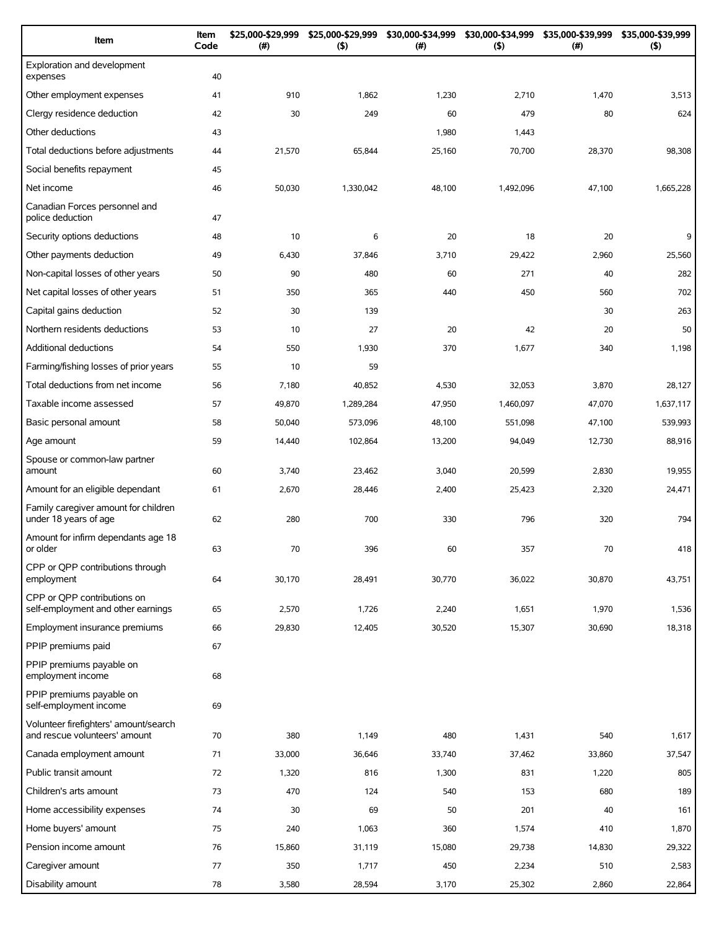| Item                                                                   | Item<br>Code | \$25,000-\$29,999<br>(#) | \$25,000-\$29,999<br>(5) | \$30,000-\$34,999<br>(# ) | \$30,000-\$34,999<br>(5) | \$35,000-\$39,999<br>$(\#)$ | \$35,000-\$39,999<br>(5) |
|------------------------------------------------------------------------|--------------|--------------------------|--------------------------|---------------------------|--------------------------|-----------------------------|--------------------------|
| Exploration and development<br>expenses                                | 40           |                          |                          |                           |                          |                             |                          |
| Other employment expenses                                              | 41           | 910                      | 1,862                    | 1,230                     | 2,710                    | 1,470                       | 3,513                    |
| Clergy residence deduction                                             | 42           | 30                       | 249                      | 60                        | 479                      | 80                          | 624                      |
| Other deductions                                                       | 43           |                          |                          | 1,980                     | 1,443                    |                             |                          |
| Total deductions before adjustments                                    | 44           | 21,570                   | 65,844                   | 25,160                    | 70,700                   | 28,370                      | 98,308                   |
| Social benefits repayment                                              | 45           |                          |                          |                           |                          |                             |                          |
| Net income                                                             | 46           | 50,030                   | 1,330,042                | 48,100                    | 1,492,096                | 47,100                      | 1,665,228                |
| Canadian Forces personnel and<br>police deduction                      | 47           |                          |                          |                           |                          |                             |                          |
| Security options deductions                                            | 48           | 10                       | 6                        | 20                        | 18                       | 20                          | 9                        |
| Other payments deduction                                               | 49           | 6,430                    | 37,846                   | 3,710                     | 29,422                   | 2,960                       | 25,560                   |
| Non-capital losses of other years                                      | 50           | 90                       | 480                      | 60                        | 271                      | 40                          | 282                      |
| Net capital losses of other years                                      | 51           | 350                      | 365                      | 440                       | 450                      | 560                         | 702                      |
| Capital gains deduction                                                | 52           | 30                       | 139                      |                           |                          | 30                          | 263                      |
| Northern residents deductions                                          | 53           | 10                       | 27                       | 20                        | 42                       | 20                          | 50                       |
| Additional deductions                                                  | 54           | 550                      | 1,930                    | 370                       | 1,677                    | 340                         | 1,198                    |
| Farming/fishing losses of prior years                                  | 55           | 10                       | 59                       |                           |                          |                             |                          |
| Total deductions from net income                                       | 56           | 7,180                    | 40,852                   | 4,530                     | 32,053                   | 3,870                       | 28,127                   |
| Taxable income assessed                                                | 57           | 49,870                   | 1,289,284                | 47,950                    | 1,460,097                | 47,070                      | 1,637,117                |
| Basic personal amount                                                  | 58           | 50,040                   | 573,096                  | 48,100                    | 551,098                  | 47,100                      | 539,993                  |
| Age amount                                                             | 59           | 14,440                   | 102,864                  | 13,200                    | 94,049                   | 12,730                      | 88,916                   |
| Spouse or common-law partner<br>amount                                 | 60           | 3,740                    | 23,462                   | 3,040                     | 20,599                   | 2,830                       | 19,955                   |
| Amount for an eligible dependant                                       | 61           | 2,670                    | 28,446                   | 2,400                     | 25,423                   | 2,320                       | 24,471                   |
| Family caregiver amount for children<br>under 18 years of age          | 62           | 280                      | 700                      | 330                       | 796                      | 320                         | 794                      |
| Amount for infirm dependants age 18<br>or older                        | 63           | 70                       | 396                      | 60                        | 357                      | 70                          | 418                      |
| CPP or QPP contributions through<br>employment                         | 64           | 30,170                   | 28,491                   | 30,770                    | 36,022                   | 30,870                      | 43,751                   |
| CPP or OPP contributions on<br>self-employment and other earnings      | 65           | 2,570                    | 1,726                    | 2,240                     | 1,651                    | 1,970                       | 1,536                    |
| Employment insurance premiums                                          | 66           | 29,830                   | 12,405                   | 30,520                    | 15,307                   | 30.690                      | 18,318                   |
| PPIP premiums paid                                                     | 67           |                          |                          |                           |                          |                             |                          |
| PPIP premiums payable on<br>employment income                          | 68           |                          |                          |                           |                          |                             |                          |
| PPIP premiums payable on<br>self-employment income                     | 69           |                          |                          |                           |                          |                             |                          |
| Volunteer firefighters' amount/search<br>and rescue volunteers' amount | 70           | 380                      | 1,149                    | 480                       | 1,431                    | 540                         | 1,617                    |
| Canada employment amount                                               | 71           | 33,000                   | 36,646                   | 33,740                    | 37,462                   | 33,860                      | 37,547                   |
| Public transit amount                                                  | 72           | 1,320                    | 816                      | 1,300                     | 831                      | 1,220                       | 805                      |
| Children's arts amount                                                 | 73           | 470                      | 124                      | 540                       | 153                      | 680                         | 189                      |
| Home accessibility expenses                                            | 74           | 30                       | 69                       | 50                        | 201                      | 40                          | 161                      |
| Home buyers' amount                                                    | 75           | 240                      | 1,063                    | 360                       | 1,574                    | 410                         | 1,870                    |
| Pension income amount                                                  | 76           | 15,860                   | 31,119                   | 15,080                    | 29,738                   | 14,830                      | 29,322                   |
| Caregiver amount                                                       | 77           | 350                      | 1,717                    | 450                       | 2,234                    | 510                         | 2,583                    |
| Disability amount                                                      | 78           | 3,580                    | 28,594                   | 3,170                     | 25,302                   | 2,860                       | 22,864                   |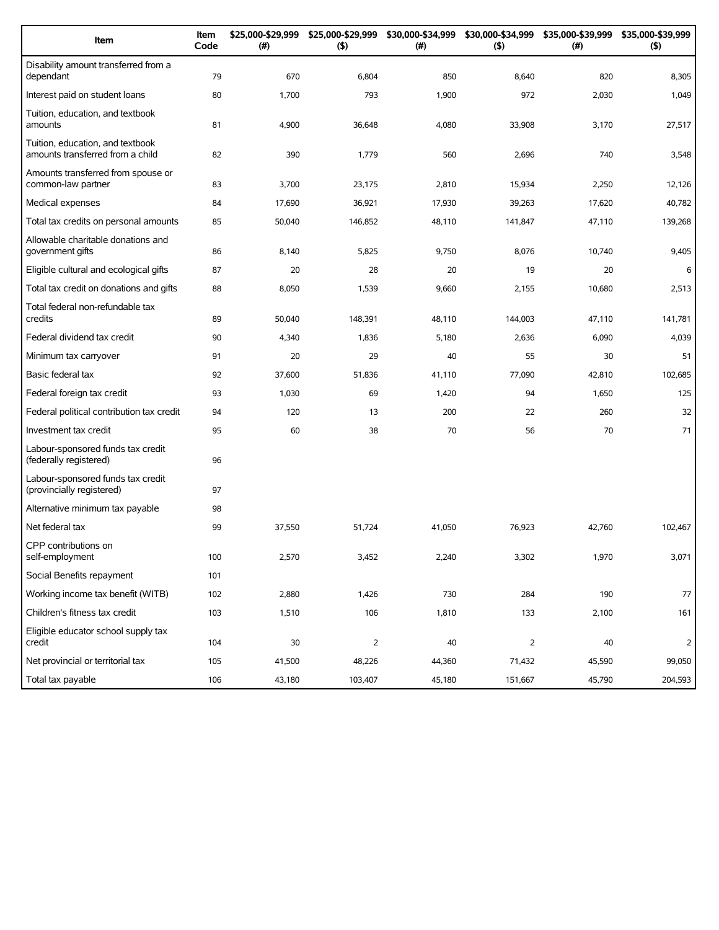| Item                                                                 | Item<br>Code | \$25,000-\$29,999<br>(#) | \$25,000-\$29,999<br>(5) | \$30,000-\$34,999<br>(# ) | \$30,000-\$34,999<br>(5) | \$35,000-\$39,999<br>(#) | \$35,000-\$39,999<br>(5) |
|----------------------------------------------------------------------|--------------|--------------------------|--------------------------|---------------------------|--------------------------|--------------------------|--------------------------|
| Disability amount transferred from a<br>dependant                    | 79           | 670                      | 6,804                    | 850                       | 8,640                    | 820                      | 8,305                    |
| Interest paid on student loans                                       | 80           | 1,700                    | 793                      | 1,900                     | 972                      | 2,030                    | 1,049                    |
| Tuition, education, and textbook<br>amounts                          | 81           | 4,900                    | 36,648                   | 4,080                     | 33,908                   | 3,170                    | 27,517                   |
| Tuition, education, and textbook<br>amounts transferred from a child | 82           | 390                      | 1,779                    | 560                       | 2,696                    | 740                      | 3,548                    |
| Amounts transferred from spouse or<br>common-law partner             | 83           | 3,700                    | 23,175                   | 2,810                     | 15,934                   | 2,250                    | 12,126                   |
| Medical expenses                                                     | 84           | 17,690                   | 36,921                   | 17,930                    | 39,263                   | 17,620                   | 40,782                   |
| Total tax credits on personal amounts                                | 85           | 50,040                   | 146,852                  | 48,110                    | 141,847                  | 47,110                   | 139,268                  |
| Allowable charitable donations and<br>government gifts               | 86           | 8,140                    | 5,825                    | 9,750                     | 8,076                    | 10,740                   | 9,405                    |
| Eligible cultural and ecological gifts                               | 87           | 20                       | 28                       | 20                        | 19                       | 20                       | 6                        |
| Total tax credit on donations and gifts                              | 88           | 8,050                    | 1,539                    | 9,660                     | 2,155                    | 10,680                   | 2,513                    |
| Total federal non-refundable tax<br>credits                          | 89           | 50,040                   | 148,391                  | 48,110                    | 144,003                  | 47,110                   | 141,781                  |
| Federal dividend tax credit                                          | 90           | 4,340                    | 1,836                    | 5,180                     | 2,636                    | 6,090                    | 4,039                    |
| Minimum tax carryover                                                | 91           | 20                       | 29                       | 40                        | 55                       | 30                       | 51                       |
| Basic federal tax                                                    | 92           | 37,600                   | 51,836                   | 41,110                    | 77,090                   | 42,810                   | 102,685                  |
| Federal foreign tax credit                                           | 93           | 1,030                    | 69                       | 1,420                     | 94                       | 1,650                    | 125                      |
| Federal political contribution tax credit                            | 94           | 120                      | 13                       | 200                       | 22                       | 260                      | 32                       |
| Investment tax credit                                                | 95           | 60                       | 38                       | 70                        | 56                       | 70                       | 71                       |
| Labour-sponsored funds tax credit<br>(federally registered)          | 96           |                          |                          |                           |                          |                          |                          |
| Labour-sponsored funds tax credit<br>(provincially registered)       | 97           |                          |                          |                           |                          |                          |                          |
| Alternative minimum tax payable                                      | 98           |                          |                          |                           |                          |                          |                          |
| Net federal tax                                                      | 99           | 37,550                   | 51,724                   | 41,050                    | 76,923                   | 42,760                   | 102,467                  |
| CPP contributions on<br>self-employment                              | 100          | 2,570                    | 3,452                    | 2,240                     | 3,302                    | 1,970                    | 3,071                    |
| Social Benefits repayment                                            | 101          |                          |                          |                           |                          |                          |                          |
| Working income tax benefit (WITB)                                    | 102          | 2,880                    | 1,426                    | 730                       | 284                      | 190                      | 77                       |
| Children's fitness tax credit                                        | 103          | 1,510                    | 106                      | 1,810                     | 133                      | 2,100                    | 161                      |
| Eligible educator school supply tax<br>credit                        | 104          | $30\,$                   | $\overline{2}$           | 40                        | $\overline{2}$           | 40                       | 2                        |
| Net provincial or territorial tax                                    | 105          | 41,500                   | 48,226                   | 44,360                    | 71,432                   | 45,590                   | 99,050                   |
| Total tax payable                                                    | 106          | 43,180                   | 103,407                  | 45,180                    | 151,667                  | 45,790                   | 204,593                  |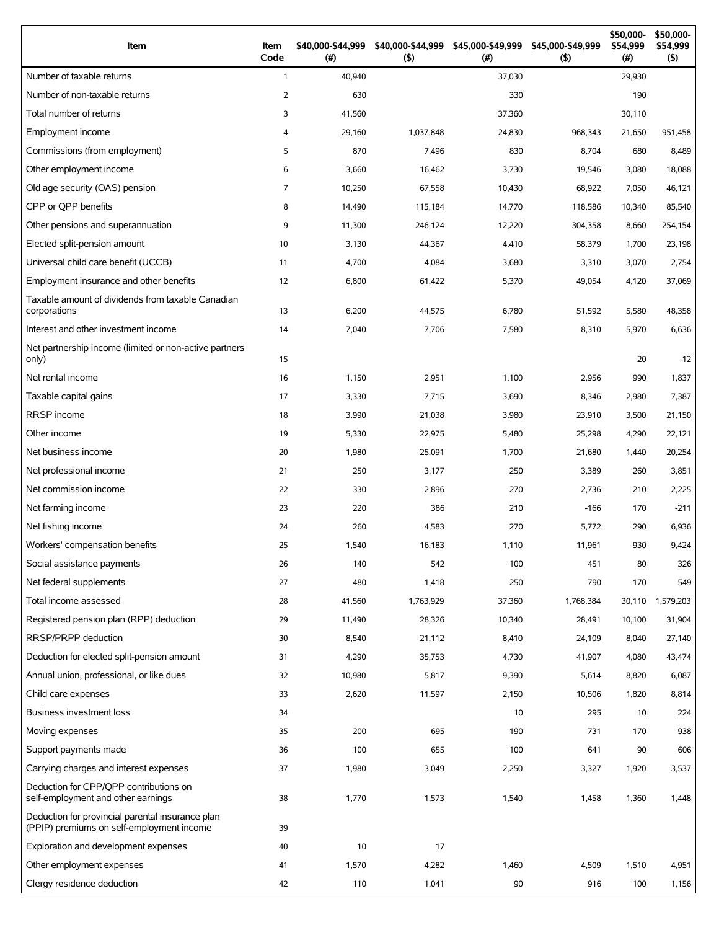| Item                                                                                          | Item<br>Code   | \$40,000-\$44,999<br>$($ #) | \$40,000-\$44,999<br>(5) | \$45,000-\$49,999<br>$(\#)$ | \$45,000-\$49,999<br>(5) | \$50,000-<br>\$54,999<br>(# ) | \$50,000-<br>\$54,999<br>(5) |
|-----------------------------------------------------------------------------------------------|----------------|-----------------------------|--------------------------|-----------------------------|--------------------------|-------------------------------|------------------------------|
| Number of taxable returns                                                                     | $\mathbf{1}$   | 40,940                      |                          | 37,030                      |                          | 29,930                        |                              |
| Number of non-taxable returns                                                                 | 2              | 630                         |                          | 330                         |                          | 190                           |                              |
| Total number of returns                                                                       | 3              | 41,560                      |                          | 37,360                      |                          | 30,110                        |                              |
| Employment income                                                                             | $\overline{4}$ | 29,160                      | 1,037,848                | 24,830                      | 968,343                  | 21,650                        | 951,458                      |
| Commissions (from employment)                                                                 | 5              | 870                         | 7,496                    | 830                         | 8,704                    | 680                           | 8,489                        |
| Other employment income                                                                       | 6              | 3,660                       | 16,462                   | 3,730                       | 19,546                   | 3,080                         | 18,088                       |
| Old age security (OAS) pension                                                                | $\overline{7}$ | 10,250                      | 67,558                   | 10,430                      | 68,922                   | 7,050                         | 46,121                       |
| CPP or OPP benefits                                                                           | 8              | 14,490                      | 115,184                  | 14,770                      | 118,586                  | 10,340                        | 85,540                       |
| Other pensions and superannuation                                                             | 9              | 11,300                      | 246,124                  | 12,220                      | 304,358                  | 8,660                         | 254,154                      |
| Elected split-pension amount                                                                  | 10             | 3,130                       | 44,367                   | 4,410                       | 58,379                   | 1,700                         | 23,198                       |
| Universal child care benefit (UCCB)                                                           | 11             | 4,700                       | 4,084                    | 3,680                       | 3,310                    | 3,070                         | 2,754                        |
| Employment insurance and other benefits                                                       | 12             | 6,800                       | 61,422                   | 5,370                       | 49,054                   | 4,120                         | 37,069                       |
| Taxable amount of dividends from taxable Canadian<br>corporations                             | 13             | 6,200                       | 44,575                   | 6,780                       | 51,592                   | 5,580                         | 48,358                       |
| Interest and other investment income                                                          | 14             | 7,040                       | 7,706                    | 7,580                       | 8,310                    | 5,970                         | 6,636                        |
| Net partnership income (limited or non-active partners<br>only)                               | 15             |                             |                          |                             |                          | 20                            | $-12$                        |
| Net rental income                                                                             | 16             | 1,150                       | 2,951                    | 1,100                       | 2,956                    | 990                           | 1,837                        |
| Taxable capital gains                                                                         | 17             | 3,330                       | 7,715                    | 3,690                       | 8,346                    | 2,980                         | 7,387                        |
| <b>RRSP</b> income                                                                            | 18             | 3,990                       | 21,038                   | 3,980                       | 23,910                   | 3,500                         | 21,150                       |
| Other income                                                                                  | 19             | 5,330                       | 22,975                   | 5,480                       | 25,298                   | 4,290                         | 22,121                       |
| Net business income                                                                           | 20             | 1,980                       | 25,091                   | 1,700                       | 21,680                   | 1,440                         | 20,254                       |
| Net professional income                                                                       | 21             | 250                         | 3,177                    | 250                         | 3,389                    | 260                           | 3,851                        |
| Net commission income                                                                         | 22             | 330                         | 2,896                    | 270                         | 2,736                    | 210                           | 2,225                        |
| Net farming income                                                                            | 23             | 220                         | 386                      | 210                         | $-166$                   | 170                           | $-211$                       |
| Net fishing income                                                                            | 24             | 260                         | 4,583                    | 270                         | 5,772                    | 290                           | 6,936                        |
| Workers' compensation benefits                                                                | 25             | 1,540                       | 16,183                   | 1,110                       | 11,961                   | 930                           | 9,424                        |
| Social assistance payments                                                                    | 26             | 140                         | 542                      | 100                         | 451                      | 80                            | 326                          |
| Net federal supplements                                                                       | 27             | 480                         | 1,418                    | 250                         | 790                      | 170                           | 549                          |
| Total income assessed                                                                         | 28             | 41,560                      | 1,763,929                | 37,360                      | 1,768,384                | 30,110                        | 1,579,203                    |
| Registered pension plan (RPP) deduction                                                       | 29             | 11,490                      | 28,326                   | 10,340                      | 28,491                   | 10,100                        | 31,904                       |
| RRSP/PRPP deduction                                                                           | 30             | 8,540                       | 21,112                   | 8,410                       | 24,109                   | 8,040                         | 27,140                       |
| Deduction for elected split-pension amount                                                    | 31             | 4,290                       | 35,753                   | 4,730                       | 41,907                   | 4,080                         | 43,474                       |
| Annual union, professional, or like dues                                                      | 32             | 10,980                      | 5,817                    | 9,390                       | 5,614                    | 8,820                         | 6,087                        |
| Child care expenses                                                                           | 33             | 2,620                       | 11,597                   | 2,150                       | 10,506                   | 1,820                         | 8,814                        |
| <b>Business investment loss</b>                                                               | 34             |                             |                          | 10                          | 295                      | 10                            | 224                          |
| Moving expenses                                                                               | 35             | 200                         | 695                      | 190                         | 731                      | 170                           | 938                          |
| Support payments made                                                                         | 36             | 100                         | 655                      | 100                         | 641                      | 90                            | 606                          |
| Carrying charges and interest expenses                                                        | 37             | 1,980                       | 3,049                    | 2,250                       | 3,327                    | 1,920                         | 3,537                        |
| Deduction for CPP/QPP contributions on<br>self-employment and other earnings                  | 38             | 1,770                       | 1,573                    | 1,540                       | 1,458                    | 1,360                         | 1,448                        |
| Deduction for provincial parental insurance plan<br>(PPIP) premiums on self-employment income | 39             |                             |                          |                             |                          |                               |                              |
| Exploration and development expenses                                                          | 40             | 10                          | 17                       |                             |                          |                               |                              |
| Other employment expenses                                                                     | 41             | 1,570                       | 4,282                    | 1,460                       | 4,509                    | 1,510                         | 4,951                        |
| Clergy residence deduction                                                                    | 42             | 110                         | 1,041                    | 90                          | 916                      | 100                           | 1,156                        |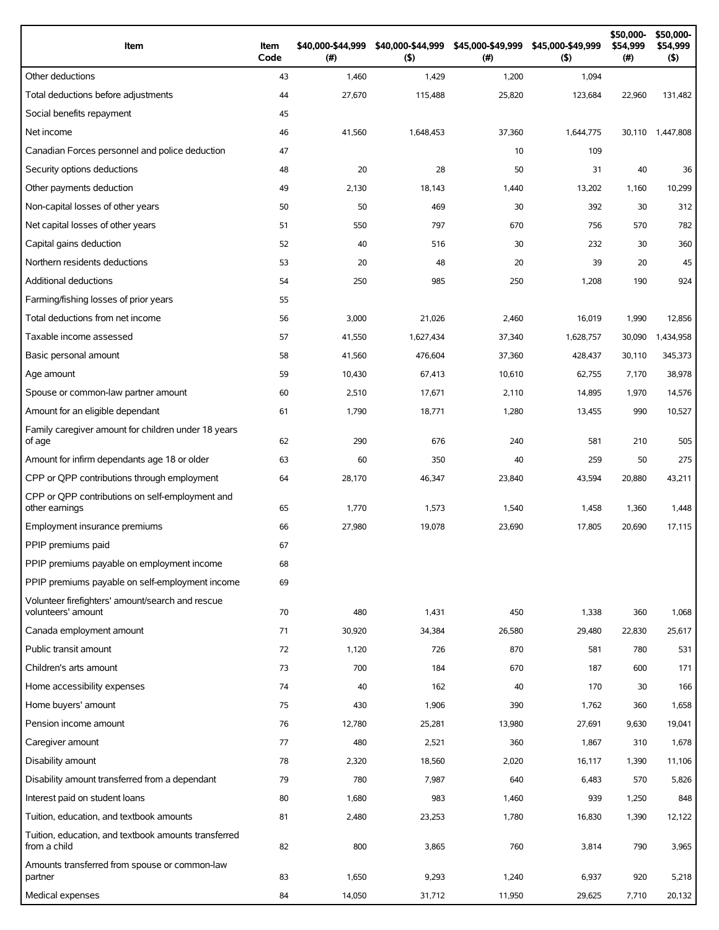| Item                                                                 | Item<br>Code | \$40,000-\$44,999<br>(#) | \$40,000-\$44,999<br>(5) | \$45,000-\$49,999<br>(# ) | \$45,000-\$49,999<br>(5) | \$50,000-<br>\$54,999<br>$(\#)$ | \$50,000-<br>\$54,999<br>$($ \$) |
|----------------------------------------------------------------------|--------------|--------------------------|--------------------------|---------------------------|--------------------------|---------------------------------|----------------------------------|
| Other deductions                                                     | 43           | 1,460                    | 1,429                    | 1,200                     | 1,094                    |                                 |                                  |
| Total deductions before adjustments                                  | 44           | 27,670                   | 115,488                  | 25,820                    | 123,684                  | 22,960                          | 131,482                          |
| Social benefits repayment                                            | 45           |                          |                          |                           |                          |                                 |                                  |
| Net income                                                           | 46           | 41,560                   | 1,648,453                | 37,360                    | 1,644,775                | 30,110                          | 1,447,808                        |
| Canadian Forces personnel and police deduction                       | 47           |                          |                          | 10                        | 109                      |                                 |                                  |
| Security options deductions                                          | 48           | 20                       | 28                       | 50                        | 31                       | 40                              | 36                               |
| Other payments deduction                                             | 49           | 2,130                    | 18,143                   | 1,440                     | 13,202                   | 1,160                           | 10,299                           |
| Non-capital losses of other years                                    | 50           | 50                       | 469                      | 30                        | 392                      | 30                              | 312                              |
| Net capital losses of other years                                    | 51           | 550                      | 797                      | 670                       | 756                      | 570                             | 782                              |
| Capital gains deduction                                              | 52           | 40                       | 516                      | 30                        | 232                      | 30                              | 360                              |
| Northern residents deductions                                        | 53           | 20                       | 48                       | 20                        | 39                       | 20                              | 45                               |
| Additional deductions                                                | 54           | 250                      | 985                      | 250                       | 1,208                    | 190                             | 924                              |
| Farming/fishing losses of prior years                                | 55           |                          |                          |                           |                          |                                 |                                  |
| Total deductions from net income                                     | 56           | 3,000                    | 21,026                   | 2,460                     | 16,019                   | 1,990                           | 12,856                           |
| Taxable income assessed                                              | 57           | 41,550                   | 1,627,434                | 37,340                    | 1,628,757                | 30,090                          | 1,434,958                        |
| Basic personal amount                                                | 58           | 41,560                   | 476,604                  | 37,360                    | 428,437                  | 30.110                          | 345,373                          |
| Age amount                                                           | 59           | 10,430                   | 67,413                   | 10,610                    | 62,755                   | 7,170                           | 38,978                           |
| Spouse or common-law partner amount                                  | 60           | 2,510                    | 17,671                   | 2,110                     | 14,895                   | 1,970                           | 14,576                           |
| Amount for an eligible dependant                                     | 61           | 1,790                    | 18,771                   | 1,280                     | 13,455                   | 990                             | 10,527                           |
| Family caregiver amount for children under 18 years<br>of age        | 62           | 290                      | 676                      | 240                       | 581                      | 210                             | 505                              |
| Amount for infirm dependants age 18 or older                         | 63           | 60                       | 350                      | 40                        | 259                      | 50                              | 275                              |
| CPP or QPP contributions through employment                          | 64           | 28,170                   | 46,347                   | 23,840                    | 43,594                   | 20,880                          | 43,211                           |
| CPP or OPP contributions on self-employment and<br>other earnings    | 65           | 1,770                    | 1,573                    | 1,540                     | 1,458                    | 1,360                           | 1,448                            |
| Employment insurance premiums                                        | 66           | 27,980                   | 19,078                   | 23,690                    | 17,805                   | 20,690                          | 17,115                           |
| PPIP premiums paid                                                   | 67           |                          |                          |                           |                          |                                 |                                  |
| PPIP premiums payable on employment income                           | 68           |                          |                          |                           |                          |                                 |                                  |
| PPIP premiums payable on self-employment income                      | 69           |                          |                          |                           |                          |                                 |                                  |
| Volunteer firefighters' amount/search and rescue                     |              |                          |                          |                           |                          |                                 |                                  |
| volunteers' amount                                                   | 70           | 480                      | 1,431                    | 450                       | 1,338                    | 360                             | 1,068                            |
| Canada employment amount                                             | 71           | 30,920                   | 34,384                   | 26,580                    | 29,480                   | 22,830                          | 25,617                           |
| Public transit amount                                                | 72           | 1,120                    | 726                      | 870                       | 581                      | 780                             | 531                              |
| Children's arts amount                                               | 73           | 700                      | 184                      | 670                       | 187                      | 600                             | 171                              |
| Home accessibility expenses                                          | 74           | 40                       | 162                      | 40                        | 170                      | 30                              | 166                              |
| Home buyers' amount                                                  | 75           | 430                      | 1,906                    | 390                       | 1,762                    | 360                             | 1,658                            |
| Pension income amount                                                | 76           | 12,780                   | 25,281                   | 13,980                    | 27,691                   | 9,630                           | 19,041                           |
| Caregiver amount                                                     | 77           | 480                      | 2,521                    | 360                       | 1,867                    | 310                             | 1,678                            |
| Disability amount                                                    | 78           | 2,320                    | 18,560                   | 2,020                     | 16,117                   | 1,390                           | 11,106                           |
| Disability amount transferred from a dependant                       | 79           | 780                      | 7,987                    | 640                       | 6,483                    | 570                             | 5,826                            |
| Interest paid on student loans                                       | 80           | 1,680                    | 983                      | 1,460                     | 939                      | 1,250                           | 848                              |
| Tuition, education, and textbook amounts                             | 81           | 2,480                    | 23,253                   | 1,780                     | 16,830                   | 1,390                           | 12,122                           |
| Tuition, education, and textbook amounts transferred<br>from a child | 82           | 800                      | 3,865                    | 760                       | 3,814                    | 790                             | 3,965                            |
| Amounts transferred from spouse or common-law<br>partner             | 83           | 1,650                    | 9,293                    | 1,240                     | 6,937                    | 920                             | 5,218                            |
| Medical expenses                                                     | 84           | 14,050                   | 31,712                   | 11,950                    | 29,625                   | 7,710                           | 20,132                           |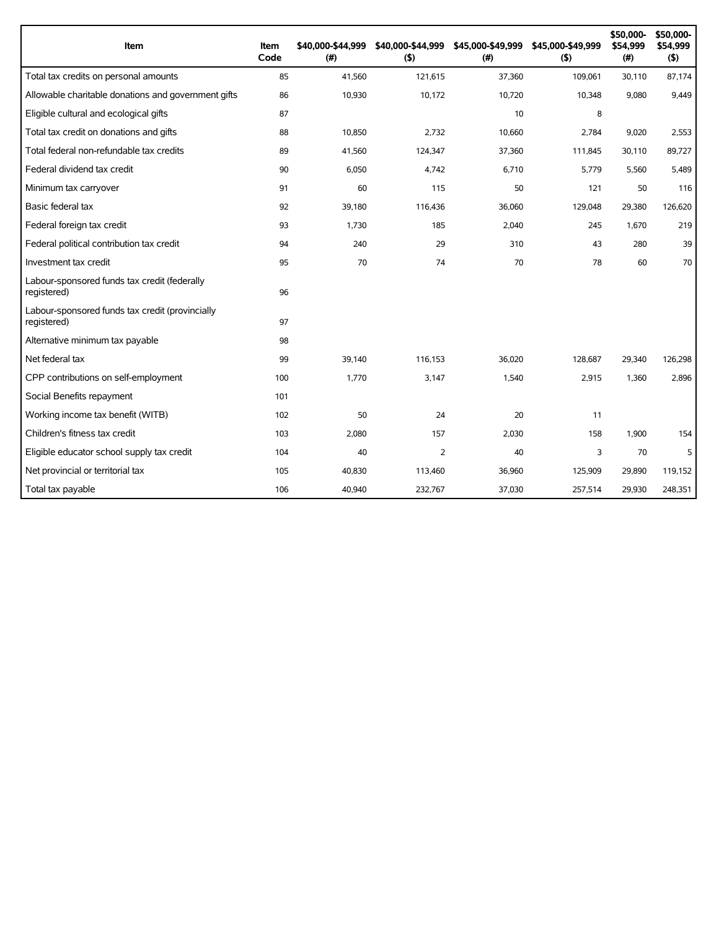| Item                                                           | Item<br>Code | \$40.000-\$44.999<br>(#) | \$40,000-\$44,999<br>(5) | \$45,000-\$49,999<br>(# ) | \$45,000-\$49,999<br>(5) | \$50,000-<br>\$54,999<br>(#) | \$50,000-<br>\$54,999<br>(5) |
|----------------------------------------------------------------|--------------|--------------------------|--------------------------|---------------------------|--------------------------|------------------------------|------------------------------|
| Total tax credits on personal amounts                          | 85           | 41,560                   | 121,615                  | 37,360                    | 109,061                  | 30,110                       | 87,174                       |
| Allowable charitable donations and government gifts            | 86           | 10,930                   | 10,172                   | 10,720                    | 10,348                   | 9,080                        | 9,449                        |
| Eligible cultural and ecological gifts                         | 87           |                          |                          | 10                        | 8                        |                              |                              |
| Total tax credit on donations and gifts                        | 88           | 10,850                   | 2,732                    | 10,660                    | 2,784                    | 9,020                        | 2,553                        |
| Total federal non-refundable tax credits                       | 89           | 41,560                   | 124,347                  | 37,360                    | 111,845                  | 30,110                       | 89,727                       |
| Federal dividend tax credit                                    | 90           | 6,050                    | 4,742                    | 6,710                     | 5,779                    | 5,560                        | 5,489                        |
| Minimum tax carryover                                          | 91           | 60                       | 115                      | 50                        | 121                      | 50                           | 116                          |
| Basic federal tax                                              | 92           | 39,180                   | 116,436                  | 36,060                    | 129,048                  | 29,380                       | 126,620                      |
| Federal foreign tax credit                                     | 93           | 1,730                    | 185                      | 2,040                     | 245                      | 1,670                        | 219                          |
| Federal political contribution tax credit                      | 94           | 240                      | 29                       | 310                       | 43                       | 280                          | 39                           |
| Investment tax credit                                          | 95           | 70                       | 74                       | 70                        | 78                       | 60                           | 70                           |
| Labour-sponsored funds tax credit (federally<br>registered)    | 96           |                          |                          |                           |                          |                              |                              |
| Labour-sponsored funds tax credit (provincially<br>registered) | 97           |                          |                          |                           |                          |                              |                              |
| Alternative minimum tax payable                                | 98           |                          |                          |                           |                          |                              |                              |
| Net federal tax                                                | 99           | 39,140                   | 116.153                  | 36.020                    | 128,687                  | 29,340                       | 126,298                      |
| CPP contributions on self-employment                           | 100          | 1,770                    | 3,147                    | 1,540                     | 2,915                    | 1,360                        | 2.896                        |
| Social Benefits repayment                                      | 101          |                          |                          |                           |                          |                              |                              |
| Working income tax benefit (WITB)                              | 102          | 50                       | 24                       | 20                        | 11                       |                              |                              |
| Children's fitness tax credit                                  | 103          | 2,080                    | 157                      | 2,030                     | 158                      | 1,900                        | 154                          |
| Eligible educator school supply tax credit                     | 104          | 40                       | 2                        | 40                        | 3                        | 70                           | 5                            |
| Net provincial or territorial tax                              | 105          | 40,830                   | 113,460                  | 36,960                    | 125,909                  | 29,890                       | 119,152                      |
| Total tax payable                                              | 106          | 40,940                   | 232,767                  | 37,030                    | 257,514                  | 29,930                       | 248,351                      |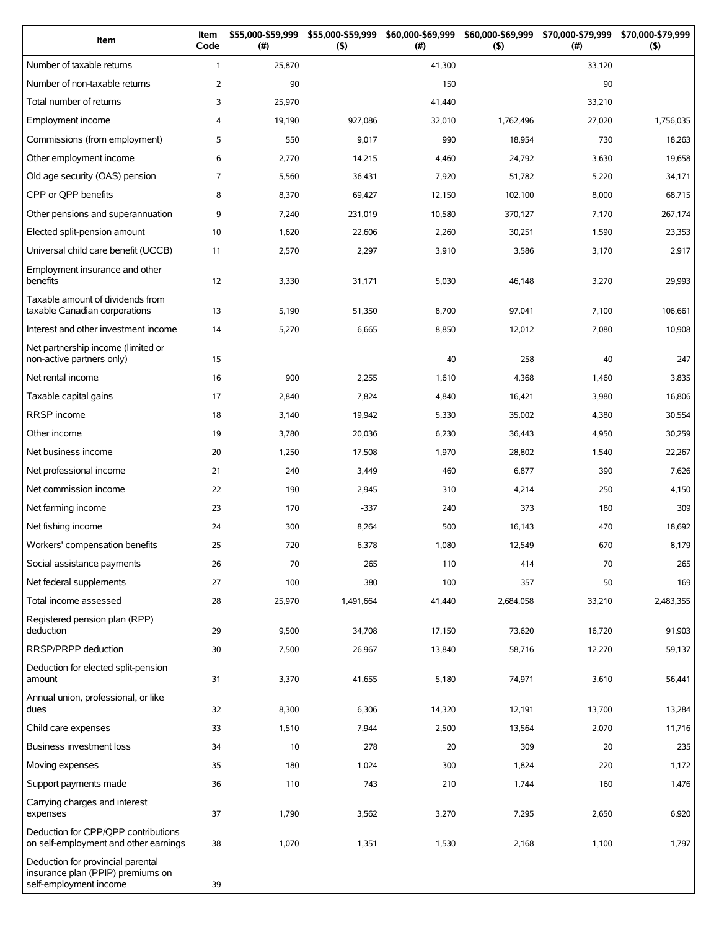| Item                                                                                             | Item<br>Code   | \$55,000-\$59,999<br>(#) | \$55,000-\$59,999<br>(5) | \$60,000-\$69,999<br>(#) | \$60,000-\$69,999<br>(5) | \$70,000-\$79,999<br>(#) | \$70,000-\$79,999<br>(5) |
|--------------------------------------------------------------------------------------------------|----------------|--------------------------|--------------------------|--------------------------|--------------------------|--------------------------|--------------------------|
| Number of taxable returns                                                                        | $\mathbf{1}$   | 25,870                   |                          | 41,300                   |                          | 33,120                   |                          |
| Number of non-taxable returns                                                                    | $\overline{2}$ | 90                       |                          | 150                      |                          | 90                       |                          |
| Total number of returns                                                                          | 3              | 25,970                   |                          | 41,440                   |                          | 33,210                   |                          |
| Employment income                                                                                | 4              | 19,190                   | 927,086                  | 32,010                   | 1,762,496                | 27,020                   | 1,756,035                |
| Commissions (from employment)                                                                    | 5              | 550                      | 9,017                    | 990                      | 18,954                   | 730                      | 18,263                   |
| Other employment income                                                                          | 6              | 2,770                    | 14,215                   | 4,460                    | 24,792                   | 3,630                    | 19,658                   |
| Old age security (OAS) pension                                                                   | $\overline{7}$ | 5,560                    | 36,431                   | 7,920                    | 51,782                   | 5,220                    | 34,171                   |
| CPP or QPP benefits                                                                              | 8              | 8,370                    | 69,427                   | 12,150                   | 102,100                  | 8,000                    | 68,715                   |
| Other pensions and superannuation                                                                | 9              | 7,240                    | 231,019                  | 10,580                   | 370,127                  | 7,170                    | 267,174                  |
| Elected split-pension amount                                                                     | 10             | 1,620                    | 22,606                   | 2,260                    | 30,251                   | 1,590                    | 23,353                   |
| Universal child care benefit (UCCB)                                                              | 11             | 2,570                    | 2,297                    | 3,910                    | 3,586                    | 3,170                    | 2,917                    |
| Employment insurance and other<br>benefits                                                       | 12             | 3,330                    | 31,171                   | 5,030                    | 46,148                   | 3,270                    | 29,993                   |
| Taxable amount of dividends from<br>taxable Canadian corporations                                | 13             | 5,190                    | 51,350                   | 8,700                    | 97,041                   | 7,100                    | 106,661                  |
| Interest and other investment income                                                             | 14             | 5,270                    | 6,665                    | 8,850                    | 12,012                   | 7,080                    | 10,908                   |
| Net partnership income (limited or<br>non-active partners only)                                  | 15             |                          |                          | 40                       | 258                      | 40                       | 247                      |
| Net rental income                                                                                | 16             | 900                      | 2,255                    | 1,610                    | 4,368                    | 1,460                    | 3,835                    |
| Taxable capital gains                                                                            | 17             | 2,840                    | 7,824                    | 4,840                    | 16,421                   | 3,980                    | 16,806                   |
| <b>RRSP</b> income                                                                               | 18             | 3,140                    | 19,942                   | 5,330                    | 35,002                   | 4,380                    | 30,554                   |
| Other income                                                                                     | 19             | 3,780                    | 20,036                   | 6,230                    | 36,443                   | 4,950                    | 30,259                   |
| Net business income                                                                              | 20             | 1,250                    | 17,508                   | 1,970                    | 28,802                   | 1,540                    | 22,267                   |
| Net professional income                                                                          | 21             | 240                      | 3,449                    | 460                      | 6,877                    | 390                      | 7,626                    |
| Net commission income                                                                            | 22             | 190                      | 2,945                    | 310                      | 4,214                    | 250                      | 4,150                    |
| Net farming income                                                                               | 23             | 170                      | $-337$                   | 240                      | 373                      | 180                      | 309                      |
| Net fishing income                                                                               | 24             | 300                      | 8,264                    | 500                      | 16,143                   | 470                      | 18,692                   |
| Workers' compensation benefits                                                                   | 25             | 720                      | 6,378                    | 1,080                    | 12,549                   | 670                      | 8,179                    |
| Social assistance payments                                                                       | 26             | 70                       | 265                      | 110                      | 414                      | 70                       | 265                      |
| Net federal supplements                                                                          | 27             | 100                      | 380                      | 100                      | 357                      | 50                       | 169                      |
| Total income assessed                                                                            | 28             | 25,970                   | 1,491,664                | 41,440                   | 2,684,058                | 33,210                   | 2,483,355                |
| Registered pension plan (RPP)<br>deduction                                                       | 29             | 9,500                    | 34,708                   | 17,150                   | 73,620                   | 16,720                   | 91,903                   |
| RRSP/PRPP deduction                                                                              | 30             | 7,500                    | 26,967                   | 13,840                   | 58,716                   | 12,270                   | 59,137                   |
| Deduction for elected split-pension<br>amount                                                    | 31             | 3,370                    | 41,655                   | 5,180                    | 74,971                   | 3,610                    | 56,441                   |
| Annual union, professional, or like<br>dues                                                      | 32             | 8,300                    | 6,306                    | 14,320                   | 12,191                   | 13,700                   | 13,284                   |
| Child care expenses                                                                              | 33             | 1,510                    | 7,944                    | 2,500                    | 13,564                   | 2,070                    | 11,716                   |
| Business investment loss                                                                         | 34             | 10                       | 278                      | 20                       | 309                      | 20                       | 235                      |
| Moving expenses                                                                                  | 35             | 180                      | 1,024                    | 300                      | 1,824                    | 220                      | 1,172                    |
| Support payments made                                                                            | 36             | 110                      | 743                      | 210                      | 1,744                    | 160                      | 1,476                    |
| Carrying charges and interest<br>expenses                                                        | 37             | 1,790                    | 3,562                    | 3,270                    | 7,295                    | 2,650                    | 6,920                    |
| Deduction for CPP/QPP contributions<br>on self-employment and other earnings                     | 38             | 1,070                    | 1,351                    | 1,530                    | 2,168                    | 1,100                    | 1,797                    |
| Deduction for provincial parental<br>insurance plan (PPIP) premiums on<br>self-employment income | 39             |                          |                          |                          |                          |                          |                          |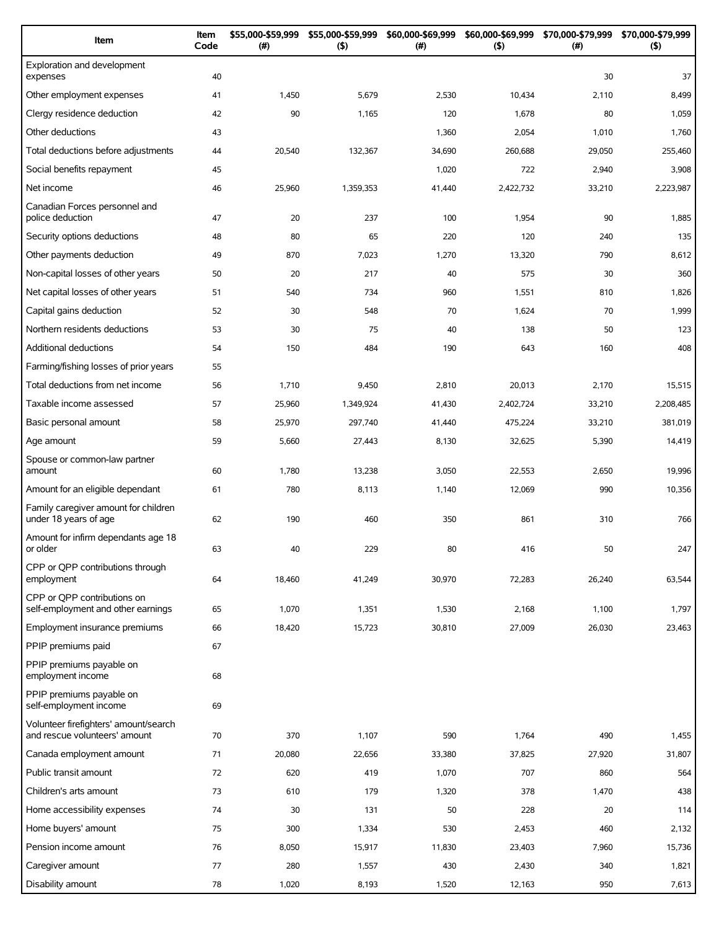| Item                                                                   | Item<br>Code | \$55,000-\$59,999<br>(# ) | \$55,000-\$59,999<br>$($ \$) | \$60,000-\$69,999<br>(#) | \$60,000-\$69,999<br>(5) | \$70,000-\$79,999<br>$(\#)$ | \$70,000-\$79,999<br>(5) |
|------------------------------------------------------------------------|--------------|---------------------------|------------------------------|--------------------------|--------------------------|-----------------------------|--------------------------|
| Exploration and development<br>expenses                                | 40           |                           |                              |                          |                          | 30                          | 37                       |
| Other employment expenses                                              | 41           | 1,450                     | 5,679                        | 2,530                    | 10,434                   | 2,110                       | 8,499                    |
| Clergy residence deduction                                             | 42           | 90                        | 1,165                        | 120                      | 1,678                    | 80                          | 1,059                    |
| Other deductions                                                       | 43           |                           |                              | 1,360                    | 2,054                    | 1,010                       | 1,760                    |
| Total deductions before adjustments                                    | 44           | 20,540                    | 132,367                      | 34,690                   | 260.688                  | 29,050                      | 255,460                  |
| Social benefits repayment                                              | 45           |                           |                              | 1,020                    | 722                      | 2,940                       | 3,908                    |
| Net income                                                             | 46           | 25,960                    | 1,359,353                    | 41,440                   | 2,422,732                | 33,210                      | 2,223,987                |
| Canadian Forces personnel and<br>police deduction                      | 47           | 20                        | 237                          | 100                      | 1,954                    | 90                          | 1,885                    |
| Security options deductions                                            | 48           | 80                        | 65                           | 220                      | 120                      | 240                         | 135                      |
| Other payments deduction                                               | 49           | 870                       | 7,023                        | 1,270                    | 13,320                   | 790                         | 8,612                    |
| Non-capital losses of other years                                      | 50           | 20                        | 217                          | 40                       | 575                      | 30                          | 360                      |
| Net capital losses of other years                                      | 51           | 540                       | 734                          | 960                      | 1,551                    | 810                         | 1,826                    |
| Capital gains deduction                                                | 52           | 30                        | 548                          | 70                       | 1,624                    | 70                          | 1,999                    |
| Northern residents deductions                                          | 53           | 30                        | 75                           | 40                       | 138                      | 50                          | 123                      |
| <b>Additional deductions</b>                                           | 54           | 150                       | 484                          | 190                      | 643                      | 160                         | 408                      |
| Farming/fishing losses of prior years                                  | 55           |                           |                              |                          |                          |                             |                          |
| Total deductions from net income                                       | 56           | 1,710                     | 9,450                        | 2,810                    | 20,013                   | 2,170                       | 15,515                   |
| Taxable income assessed                                                | 57           | 25,960                    | 1,349,924                    | 41,430                   | 2,402,724                | 33,210                      | 2,208,485                |
| Basic personal amount                                                  | 58           | 25,970                    | 297,740                      | 41,440                   | 475,224                  | 33,210                      | 381,019                  |
| Age amount                                                             | 59           | 5,660                     | 27,443                       | 8,130                    | 32,625                   | 5,390                       | 14,419                   |
| Spouse or common-law partner<br>amount                                 | 60           | 1,780                     | 13,238                       | 3,050                    | 22,553                   | 2,650                       | 19,996                   |
| Amount for an eligible dependant                                       | 61           | 780                       | 8,113                        | 1,140                    | 12,069                   | 990                         | 10,356                   |
| Family caregiver amount for children<br>under 18 years of age          | 62           | 190                       | 460                          | 350                      | 861                      | 310                         | 766                      |
| Amount for infirm dependants age 18<br>or older                        | 63           | 40                        | 229                          | 80                       | 416                      | 50                          | 247                      |
| CPP or OPP contributions through<br>employment                         | 64           | 18,460                    | 41,249                       | 30,970                   | 72,283                   | 26,240                      | 63,544                   |
| CPP or OPP contributions on<br>self-employment and other earnings      | 65           | 1,070                     | 1,351                        | 1,530                    | 2,168                    | 1,100                       | 1,797                    |
| Employment insurance premiums                                          | 66           | 18,420                    | 15,723                       | 30,810                   | 27,009                   | 26,030                      | 23,463                   |
| PPIP premiums paid                                                     | 67           |                           |                              |                          |                          |                             |                          |
| PPIP premiums payable on<br>employment income                          | 68           |                           |                              |                          |                          |                             |                          |
| PPIP premiums payable on<br>self-employment income                     | 69           |                           |                              |                          |                          |                             |                          |
| Volunteer firefighters' amount/search<br>and rescue volunteers' amount | 70           | 370                       | 1,107                        | 590                      | 1,764                    | 490                         | 1,455                    |
| Canada employment amount                                               | 71           | 20,080                    | 22,656                       | 33,380                   | 37,825                   | 27,920                      | 31,807                   |
| Public transit amount                                                  | 72           | 620                       | 419                          | 1,070                    | 707                      | 860                         | 564                      |
| Children's arts amount                                                 | 73           | 610                       | 179                          | 1,320                    | 378                      | 1,470                       | 438                      |
| Home accessibility expenses                                            | 74           | 30                        | 131                          | 50                       | 228                      | 20                          | 114                      |
| Home buyers' amount                                                    | 75           | 300                       | 1,334                        | 530                      | 2,453                    | 460                         | 2,132                    |
| Pension income amount                                                  | 76           | 8,050                     | 15,917                       | 11,830                   | 23,403                   | 7,960                       | 15,736                   |
| Caregiver amount                                                       | 77           | 280                       | 1,557                        | 430                      | 2,430                    | 340                         | 1,821                    |
| Disability amount                                                      | 78           | 1,020                     | 8,193                        | 1,520                    | 12,163                   | 950                         | 7,613                    |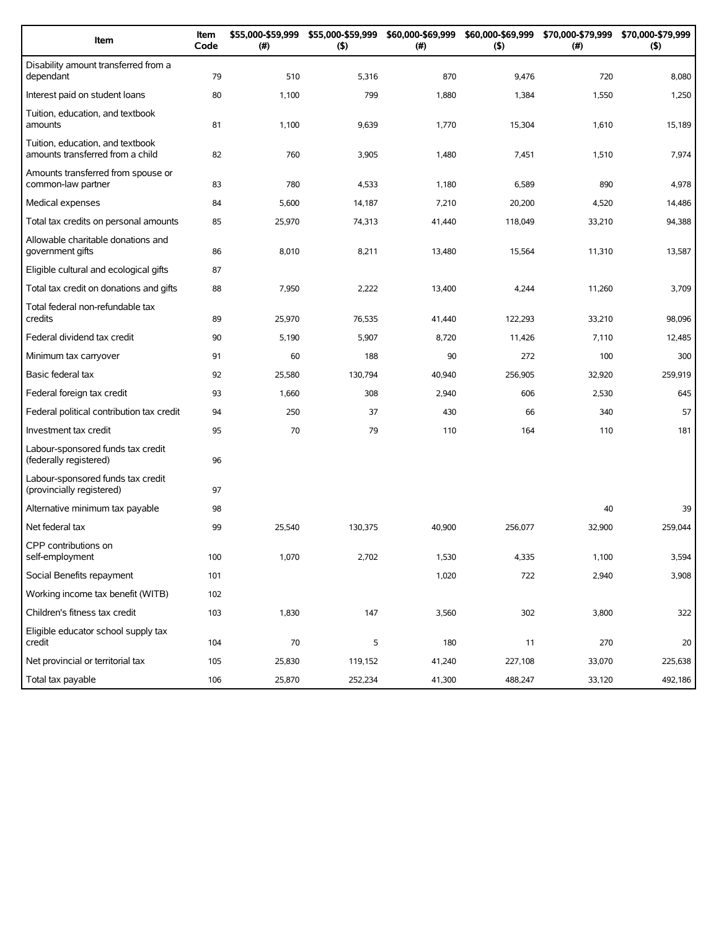| Item                                                                 | Item<br>Code | \$55,000-\$59,999<br>(#) | \$55,000-\$59,999<br>(5) | \$60,000-\$69,999<br>(#) | \$60,000-\$69,999<br>(5) | \$70,000-\$79,999<br>(#) | \$70,000-\$79,999<br>(5) |
|----------------------------------------------------------------------|--------------|--------------------------|--------------------------|--------------------------|--------------------------|--------------------------|--------------------------|
| Disability amount transferred from a<br>dependant                    | 79           | 510                      | 5,316                    | 870                      | 9,476                    | 720                      | 8,080                    |
| Interest paid on student loans                                       | 80           | 1,100                    | 799                      | 1,880                    | 1,384                    | 1,550                    | 1,250                    |
| Tuition, education, and textbook<br>amounts                          | 81           | 1,100                    | 9,639                    | 1,770                    | 15,304                   | 1,610                    | 15,189                   |
| Tuition, education, and textbook<br>amounts transferred from a child | 82           | 760                      | 3,905                    | 1,480                    | 7,451                    | 1,510                    | 7,974                    |
| Amounts transferred from spouse or<br>common-law partner             | 83           | 780                      | 4,533                    | 1,180                    | 6,589                    | 890                      | 4,978                    |
| Medical expenses                                                     | 84           | 5,600                    | 14,187                   | 7,210                    | 20,200                   | 4,520                    | 14,486                   |
| Total tax credits on personal amounts                                | 85           | 25,970                   | 74,313                   | 41,440                   | 118,049                  | 33,210                   | 94,388                   |
| Allowable charitable donations and<br>government gifts               | 86           | 8,010                    | 8,211                    | 13,480                   | 15,564                   | 11,310                   | 13,587                   |
| Eligible cultural and ecological gifts                               | 87           |                          |                          |                          |                          |                          |                          |
| Total tax credit on donations and gifts                              | 88           | 7,950                    | 2,222                    | 13,400                   | 4,244                    | 11,260                   | 3,709                    |
| Total federal non-refundable tax<br>credits                          | 89           | 25,970                   | 76,535                   | 41,440                   | 122,293                  | 33,210                   | 98,096                   |
| Federal dividend tax credit                                          | 90           | 5,190                    | 5,907                    | 8,720                    | 11,426                   | 7,110                    | 12,485                   |
| Minimum tax carryover                                                | 91           | 60                       | 188                      | 90                       | 272                      | 100                      | 300                      |
| Basic federal tax                                                    | 92           | 25,580                   | 130,794                  | 40,940                   | 256,905                  | 32,920                   | 259,919                  |
| Federal foreign tax credit                                           | 93           | 1,660                    | 308                      | 2,940                    | 606                      | 2,530                    | 645                      |
| Federal political contribution tax credit                            | 94           | 250                      | 37                       | 430                      | 66                       | 340                      | 57                       |
| Investment tax credit                                                | 95           | 70                       | 79                       | 110                      | 164                      | 110                      | 181                      |
| Labour-sponsored funds tax credit<br>(federally registered)          | 96           |                          |                          |                          |                          |                          |                          |
| Labour-sponsored funds tax credit<br>(provincially registered)       | 97           |                          |                          |                          |                          |                          |                          |
| Alternative minimum tax payable                                      | 98           |                          |                          |                          |                          | 40                       | 39                       |
| Net federal tax                                                      | 99           | 25,540                   | 130,375                  | 40,900                   | 256,077                  | 32,900                   | 259,044                  |
| CPP contributions on<br>self-employment                              | 100          | 1,070                    | 2,702                    | 1,530                    | 4,335                    | 1,100                    | 3,594                    |
| Social Benefits repayment                                            | 101          |                          |                          | 1,020                    | 722                      | 2,940                    | 3,908                    |
| Working income tax benefit (WITB)                                    | 102          |                          |                          |                          |                          |                          |                          |
| Children's fitness tax credit                                        | 103          | 1,830                    | 147                      | 3,560                    | 302                      | 3,800                    | 322                      |
| Eligible educator school supply tax<br>credit                        | 104          | 70                       | 5                        | 180                      | 11                       | 270                      | 20                       |
| Net provincial or territorial tax                                    | 105          | 25,830                   | 119,152                  | 41,240                   | 227,108                  | 33,070                   | 225,638                  |
| Total tax payable                                                    | 106          | 25,870                   | 252,234                  | 41,300                   | 488,247                  | 33,120                   | 492,186                  |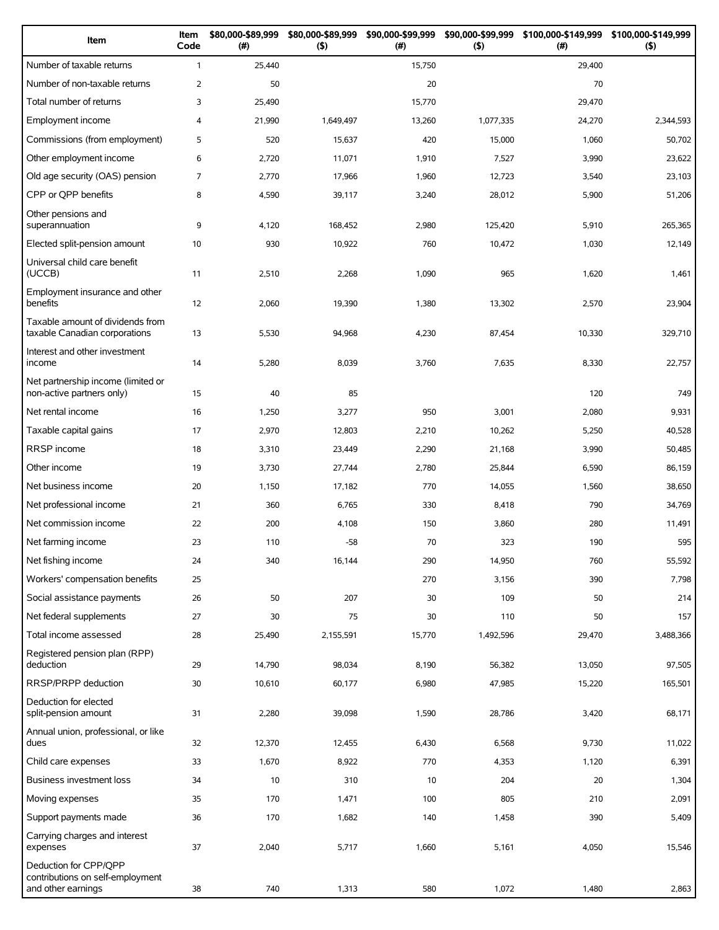| Item                                                                            | Item<br>Code   | \$80,000-\$89,999<br>$(\#)$ | \$80,000-\$89,999<br>$($ \$) | \$90,000-\$99,999<br>(# ) | \$90,000-\$99,999<br>$($ \$) | \$100,000-\$149,999<br>(#) | \$100,000-\$149,999<br>$($ \$) |
|---------------------------------------------------------------------------------|----------------|-----------------------------|------------------------------|---------------------------|------------------------------|----------------------------|--------------------------------|
| Number of taxable returns                                                       | $\mathbf{1}$   | 25,440                      |                              | 15,750                    |                              | 29,400                     |                                |
| Number of non-taxable returns                                                   | $\overline{2}$ | 50                          |                              | 20                        |                              | 70                         |                                |
| Total number of returns                                                         | 3              | 25,490                      |                              | 15,770                    |                              | 29,470                     |                                |
| Employment income                                                               | $\overline{4}$ | 21,990                      | 1,649,497                    | 13,260                    | 1,077,335                    | 24,270                     | 2,344,593                      |
| Commissions (from employment)                                                   | 5              | 520                         | 15,637                       | 420                       | 15,000                       | 1,060                      | 50,702                         |
| Other employment income                                                         | 6              | 2,720                       | 11,071                       | 1,910                     | 7,527                        | 3,990                      | 23,622                         |
| Old age security (OAS) pension                                                  | 7              | 2,770                       | 17,966                       | 1,960                     | 12,723                       | 3,540                      | 23,103                         |
| CPP or QPP benefits                                                             | 8              | 4,590                       | 39,117                       | 3,240                     | 28,012                       | 5,900                      | 51,206                         |
| Other pensions and<br>superannuation                                            | 9              | 4,120                       | 168,452                      | 2,980                     | 125,420                      | 5,910                      | 265,365                        |
| Elected split-pension amount                                                    | 10             | 930                         | 10,922                       | 760                       | 10,472                       | 1,030                      | 12,149                         |
| Universal child care benefit<br>(UCCB)                                          | 11             | 2,510                       | 2,268                        | 1,090                     | 965                          | 1,620                      | 1,461                          |
| Employment insurance and other<br>benefits                                      | 12             | 2,060                       | 19,390                       | 1,380                     | 13,302                       | 2,570                      | 23,904                         |
| Taxable amount of dividends from<br>taxable Canadian corporations               | 13             | 5,530                       | 94,968                       | 4,230                     | 87,454                       | 10,330                     | 329,710                        |
| Interest and other investment<br>income                                         | 14             | 5,280                       | 8,039                        | 3,760                     | 7,635                        | 8,330                      | 22,757                         |
| Net partnership income (limited or<br>non-active partners only)                 | 15             | 40                          | 85                           |                           |                              | 120                        | 749                            |
| Net rental income                                                               | 16             | 1,250                       | 3,277                        | 950                       | 3,001                        | 2,080                      | 9,931                          |
| Taxable capital gains                                                           | 17             | 2,970                       | 12,803                       | 2,210                     | 10,262                       | 5,250                      | 40,528                         |
| RRSP income                                                                     | 18             | 3,310                       | 23,449                       | 2,290                     | 21,168                       | 3,990                      | 50,485                         |
| Other income                                                                    | 19             | 3,730                       | 27,744                       | 2,780                     | 25,844                       | 6,590                      | 86,159                         |
| Net business income                                                             | 20             | 1,150                       | 17,182                       | 770                       | 14,055                       | 1,560                      | 38,650                         |
| Net professional income                                                         | 21             | 360                         | 6,765                        | 330                       | 8,418                        | 790                        | 34,769                         |
| Net commission income                                                           | 22             | 200                         | 4,108                        | 150                       | 3,860                        | 280                        | 11,491                         |
| Net farming income                                                              | 23             | 110                         | $-58$                        | 70                        | 323                          | 190                        | 595                            |
| Net fishing income                                                              | 24             | 340                         | 16,144                       | 290                       | 14,950                       | 760                        | 55,592                         |
| Workers' compensation benefits                                                  | 25             |                             |                              | 270                       | 3,156                        | 390                        | 7,798                          |
| Social assistance payments                                                      | 26             | 50                          | 207                          | 30                        | 109                          | 50                         | 214                            |
| Net federal supplements                                                         | 27             | 30                          | 75                           | 30                        | 110                          | 50                         | 157                            |
| Total income assessed                                                           | 28             | 25,490                      | 2,155,591                    | 15,770                    | 1,492,596                    | 29,470                     | 3,488,366                      |
| Registered pension plan (RPP)<br>deduction                                      | 29             | 14,790                      | 98,034                       | 8,190                     | 56,382                       | 13,050                     | 97,505                         |
| RRSP/PRPP deduction                                                             | 30             | 10,610                      | 60,177                       | 6,980                     | 47,985                       | 15,220                     | 165,501                        |
| Deduction for elected<br>split-pension amount                                   | 31             | 2,280                       | 39,098                       | 1,590                     | 28,786                       | 3,420                      | 68,171                         |
| Annual union, professional, or like<br>dues                                     | 32             | 12,370                      | 12,455                       | 6,430                     | 6,568                        | 9,730                      | 11,022                         |
| Child care expenses                                                             | 33             | 1,670                       | 8,922                        | 770                       | 4,353                        | 1,120                      | 6,391                          |
| Business investment loss                                                        | 34             | 10                          | 310                          | 10                        | 204                          | 20                         | 1,304                          |
| Moving expenses                                                                 | 35             | 170                         | 1,471                        | 100                       | 805                          | 210                        | 2,091                          |
| Support payments made                                                           | 36             | 170                         | 1,682                        | 140                       | 1,458                        | 390                        | 5,409                          |
| Carrying charges and interest<br>expenses                                       | 37             | 2,040                       | 5,717                        | 1,660                     | 5,161                        | 4,050                      | 15,546                         |
| Deduction for CPP/QPP<br>contributions on self-employment<br>and other earnings | 38             | 740                         | 1,313                        | 580                       | 1,072                        | 1,480                      | 2,863                          |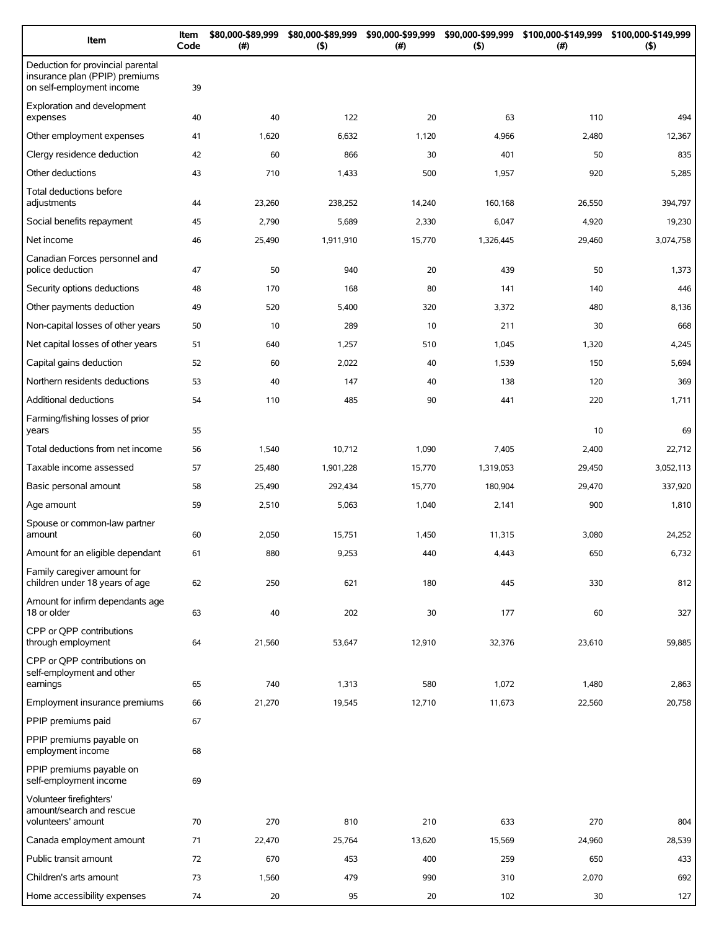| Item                                                                                             | Item<br>Code | \$80,000-\$89,999<br>(# ) | \$80,000-\$89,999<br>(5) | \$90,000-\$99,999<br>(#) | \$90,000-\$99,999<br>(5) | \$100,000-\$149,999 \$100,000-\$149,999<br>(#) | (5)       |
|--------------------------------------------------------------------------------------------------|--------------|---------------------------|--------------------------|--------------------------|--------------------------|------------------------------------------------|-----------|
| Deduction for provincial parental<br>insurance plan (PPIP) premiums<br>on self-employment income | 39           |                           |                          |                          |                          |                                                |           |
| Exploration and development<br>expenses                                                          | 40           | 40                        | 122                      | 20                       | 63                       | 110                                            | 494       |
| Other employment expenses                                                                        | 41           | 1,620                     | 6,632                    | 1,120                    | 4,966                    | 2,480                                          | 12,367    |
| Clergy residence deduction                                                                       | 42           | 60                        | 866                      | 30                       | 401                      | 50                                             | 835       |
| Other deductions                                                                                 | 43           | 710                       | 1,433                    | 500                      | 1,957                    | 920                                            | 5,285     |
| Total deductions before<br>adjustments                                                           | 44           | 23,260                    | 238,252                  | 14,240                   | 160,168                  | 26,550                                         | 394,797   |
| Social benefits repayment                                                                        | 45           | 2,790                     | 5,689                    | 2,330                    | 6,047                    | 4,920                                          | 19,230    |
| Net income                                                                                       | 46           | 25,490                    | 1,911,910                | 15,770                   | 1,326,445                | 29,460                                         | 3,074,758 |
| Canadian Forces personnel and<br>police deduction                                                | 47           | 50                        | 940                      | 20                       | 439                      | 50                                             | 1,373     |
| Security options deductions                                                                      | 48           | 170                       | 168                      | 80                       | 141                      | 140                                            | 446       |
| Other payments deduction                                                                         | 49           | 520                       | 5,400                    | 320                      | 3,372                    | 480                                            | 8,136     |
| Non-capital losses of other years                                                                | 50           | 10                        | 289                      | 10                       | 211                      | 30                                             | 668       |
| Net capital losses of other years                                                                | 51           | 640                       | 1,257                    | 510                      | 1,045                    | 1,320                                          | 4,245     |
| Capital gains deduction                                                                          | 52           | 60                        | 2,022                    | 40                       | 1,539                    | 150                                            | 5,694     |
| Northern residents deductions                                                                    | 53           | 40                        | 147                      | 40                       | 138                      | 120                                            | 369       |
| Additional deductions                                                                            | 54           | 110                       | 485                      | 90                       | 441                      | 220                                            | 1,711     |
| Farming/fishing losses of prior<br>years                                                         | 55           |                           |                          |                          |                          | 10                                             | 69        |
| Total deductions from net income                                                                 | 56           | 1,540                     | 10,712                   | 1,090                    | 7,405                    | 2,400                                          | 22,712    |
| Taxable income assessed                                                                          | 57           | 25,480                    | 1,901,228                | 15,770                   | 1,319,053                | 29,450                                         | 3,052,113 |
| Basic personal amount                                                                            | 58           | 25,490                    | 292,434                  | 15,770                   | 180,904                  | 29,470                                         | 337,920   |
| Age amount                                                                                       | 59           | 2,510                     | 5,063                    | 1,040                    | 2,141                    | 900                                            | 1,810     |
| Spouse or common-law partner                                                                     |              |                           |                          |                          |                          |                                                |           |
| amount                                                                                           | 60           | 2,050                     | 15,751                   | 1,450                    | 11,315                   | 3,080                                          | 24,252    |
| Amount for an eligible dependant                                                                 | 61           | 880                       | 9,253                    | 440                      | 4,443                    | 650                                            | 6,732     |
| Family caregiver amount for<br>children under 18 years of age                                    | 62           | 250                       | 621                      | 180                      | 445                      | 330                                            | 812       |
| Amount for infirm dependants age<br>18 or older                                                  | 63           | 40                        | 202                      | 30                       | 177                      | 60                                             | 327       |
| CPP or OPP contributions<br>through employment                                                   | 64           | 21,560                    | 53,647                   | 12,910                   | 32,376                   | 23,610                                         | 59,885    |
| CPP or QPP contributions on<br>self-employment and other<br>earnings                             | 65           | 740                       | 1,313                    | 580                      | 1,072                    | 1,480                                          | 2,863     |
| Employment insurance premiums                                                                    | 66           | 21,270                    | 19,545                   | 12,710                   | 11,673                   | 22,560                                         | 20,758    |
| PPIP premiums paid                                                                               | 67           |                           |                          |                          |                          |                                                |           |
| PPIP premiums payable on<br>employment income                                                    | 68           |                           |                          |                          |                          |                                                |           |
| PPIP premiums payable on<br>self-employment income                                               | 69           |                           |                          |                          |                          |                                                |           |
| Volunteer firefighters'<br>amount/search and rescue<br>volunteers' amount                        | 70           | 270                       | 810                      | 210                      | 633                      | 270                                            | 804       |
| Canada employment amount                                                                         | 71           | 22,470                    | 25,764                   | 13,620                   | 15,569                   | 24,960                                         | 28,539    |
| Public transit amount                                                                            | 72           | 670                       | 453                      | 400                      | 259                      | 650                                            | 433       |
| Children's arts amount                                                                           | 73           | 1,560                     | 479                      | 990                      | 310                      | 2,070                                          | 692       |
| Home accessibility expenses                                                                      | 74           | 20                        | 95                       | 20                       | 102                      | 30                                             | 127       |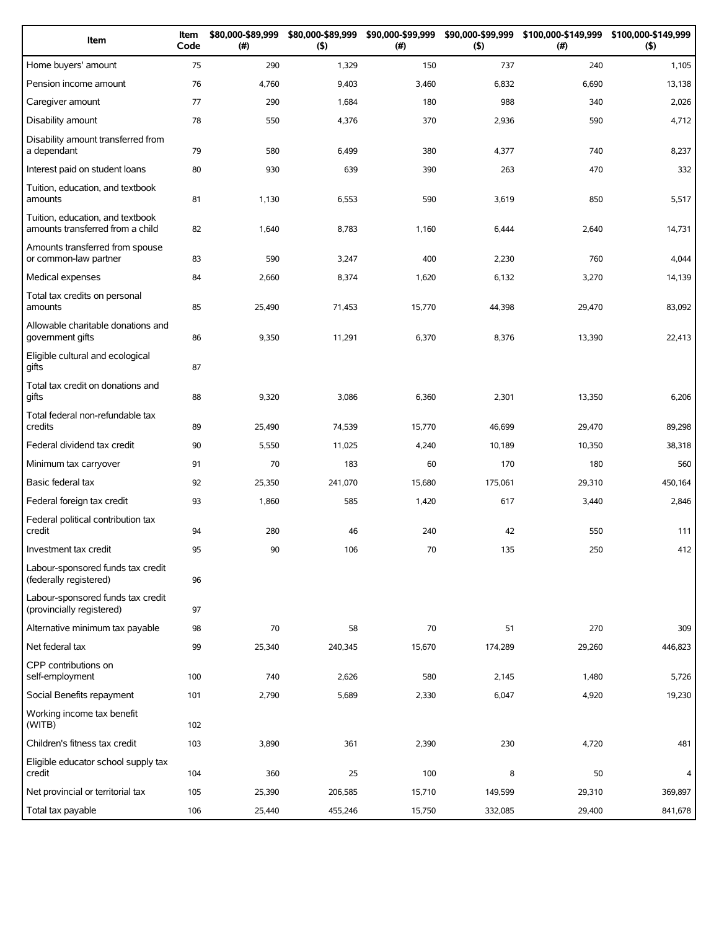| Item                                                                 | Item<br>Code | \$80,000-\$89,999<br>(# ) | \$80,000-\$89,999<br>(5) | \$90,000-\$99,999<br>(#) | \$90,000-\$99,999<br>(5) | \$100,000-\$149,999<br>(#) | \$100,000-\$149,999<br>$($ \$) |
|----------------------------------------------------------------------|--------------|---------------------------|--------------------------|--------------------------|--------------------------|----------------------------|--------------------------------|
| Home buyers' amount                                                  | 75           | 290                       | 1,329                    | 150                      | 737                      | 240                        | 1,105                          |
| Pension income amount                                                | 76           | 4,760                     | 9,403                    | 3,460                    | 6,832                    | 6,690                      | 13,138                         |
| Caregiver amount                                                     | 77           | 290                       | 1,684                    | 180                      | 988                      | 340                        | 2,026                          |
| Disability amount                                                    | 78           | 550                       | 4,376                    | 370                      | 2,936                    | 590                        | 4,712                          |
| Disability amount transferred from<br>a dependant                    | 79           | 580                       | 6,499                    | 380                      | 4,377                    | 740                        | 8,237                          |
| Interest paid on student loans                                       | 80           | 930                       | 639                      | 390                      | 263                      | 470                        | 332                            |
| Tuition, education, and textbook<br>amounts                          | 81           | 1,130                     | 6,553                    | 590                      | 3,619                    | 850                        | 5,517                          |
| Tuition, education, and textbook<br>amounts transferred from a child | 82           | 1,640                     | 8,783                    | 1,160                    | 6,444                    | 2,640                      | 14,731                         |
| Amounts transferred from spouse<br>or common-law partner             | 83           | 590                       | 3,247                    | 400                      | 2,230                    | 760                        | 4,044                          |
| Medical expenses                                                     | 84           | 2,660                     | 8,374                    | 1,620                    | 6,132                    | 3,270                      | 14,139                         |
| Total tax credits on personal<br>amounts                             | 85           | 25,490                    | 71,453                   | 15,770                   | 44,398                   | 29,470                     | 83,092                         |
| Allowable charitable donations and<br>government gifts               | 86           | 9,350                     | 11,291                   | 6,370                    | 8,376                    | 13,390                     | 22,413                         |
| Eligible cultural and ecological<br>gifts                            | 87           |                           |                          |                          |                          |                            |                                |
| Total tax credit on donations and<br>qifts                           | 88           | 9,320                     | 3,086                    | 6,360                    | 2,301                    | 13,350                     | 6,206                          |
| Total federal non-refundable tax<br>credits                          | 89           | 25,490                    | 74,539                   | 15,770                   | 46,699                   | 29,470                     | 89,298                         |
| Federal dividend tax credit                                          | 90           | 5,550                     | 11,025                   | 4,240                    | 10,189                   | 10,350                     | 38,318                         |
| Minimum tax carryover                                                | 91           | 70                        | 183                      | 60                       | 170                      | 180                        | 560                            |
| Basic federal tax                                                    | 92           | 25,350                    | 241,070                  | 15,680                   | 175,061                  | 29,310                     | 450,164                        |
| Federal foreign tax credit                                           | 93           | 1,860                     | 585                      | 1,420                    | 617                      | 3,440                      | 2,846                          |
| Federal political contribution tax<br>credit                         | 94           | 280                       | 46                       | 240                      | 42                       | 550                        | 111                            |
| Investment tax credit                                                | 95           | 90                        | 106                      | 70                       | 135                      | 250                        | 412                            |
| Labour-sponsored funds tax credit<br>(federally registered)          | 96           |                           |                          |                          |                          |                            |                                |
| Labour-sponsored funds tax credit<br>(provincially registered)       | 97           |                           |                          |                          |                          |                            |                                |
| Alternative minimum tax payable                                      | 98           | 70                        | 58                       | 70                       | 51                       | 270                        | 309                            |
| Net federal tax                                                      | 99           | 25,340                    | 240,345                  | 15,670                   | 174,289                  | 29,260                     | 446,823                        |
| CPP contributions on<br>self-employment                              | 100          | 740                       | 2,626                    | 580                      | 2,145                    | 1,480                      | 5,726                          |
| Social Benefits repayment                                            | 101          | 2,790                     | 5,689                    | 2,330                    | 6,047                    | 4,920                      | 19,230                         |
| Working income tax benefit<br>(WITB)                                 | 102          |                           |                          |                          |                          |                            |                                |
| Children's fitness tax credit                                        | 103          | 3,890                     | 361                      | 2,390                    | 230                      | 4,720                      | 481                            |
| Eligible educator school supply tax<br>credit                        | 104          | 360                       | 25                       | 100                      | 8                        | 50                         | 4                              |
| Net provincial or territorial tax                                    | 105          | 25,390                    | 206,585                  | 15,710                   | 149,599                  | 29,310                     | 369,897                        |
| Total tax payable                                                    | 106          | 25,440                    | 455,246                  | 15,750                   | 332,085                  | 29,400                     | 841,678                        |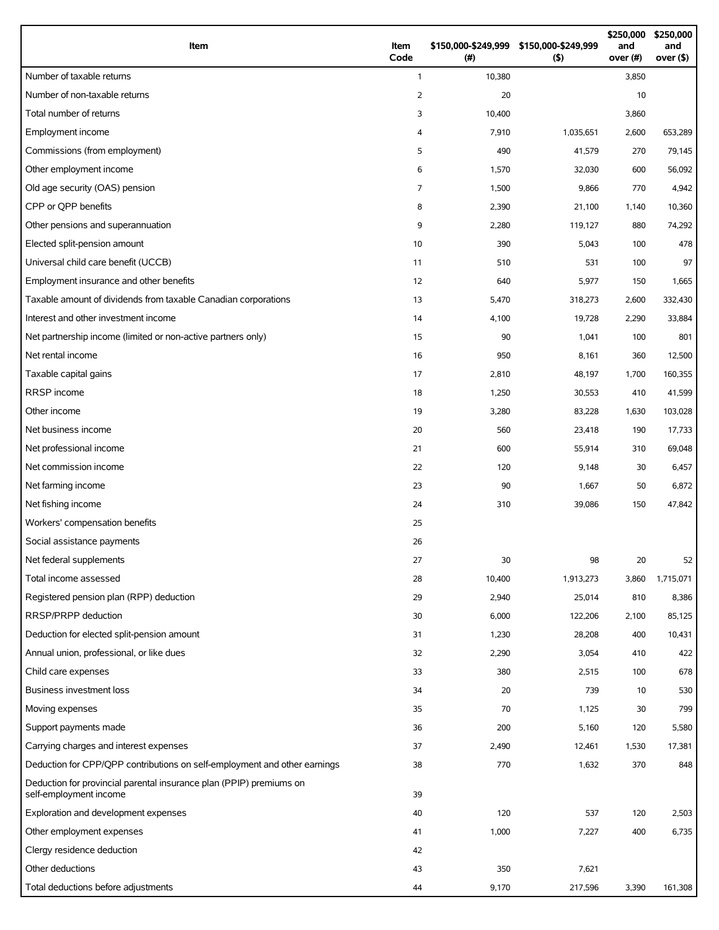| Item                                                                      | Item<br>Code   | \$150,000-\$249,999 \$150,000-\$249,999<br>(# ) | (5)       | \$250,000<br>and<br>over (#) | \$250,000<br>and<br>over $($ \$) |
|---------------------------------------------------------------------------|----------------|-------------------------------------------------|-----------|------------------------------|----------------------------------|
| Number of taxable returns                                                 | $\mathbf{1}$   | 10,380                                          |           | 3,850                        |                                  |
| Number of non-taxable returns                                             | $\overline{2}$ | 20                                              |           | 10                           |                                  |
| Total number of returns                                                   | 3              | 10,400                                          |           | 3,860                        |                                  |
| Employment income                                                         | 4              | 7,910                                           | 1,035,651 | 2,600                        | 653,289                          |
| Commissions (from employment)                                             | 5              | 490                                             | 41,579    | 270                          | 79,145                           |
| Other employment income                                                   | 6              | 1,570                                           | 32,030    | 600                          | 56,092                           |
| Old age security (OAS) pension                                            | $\overline{7}$ | 1,500                                           | 9,866     | 770                          | 4,942                            |
| CPP or OPP benefits                                                       | 8              | 2,390                                           | 21,100    | 1,140                        | 10,360                           |
| Other pensions and superannuation                                         | 9              | 2,280                                           | 119,127   | 880                          | 74,292                           |
| Elected split-pension amount                                              | 10             | 390                                             | 5,043     | 100                          | 478                              |
| Universal child care benefit (UCCB)                                       | 11             | 510                                             | 531       | 100                          | 97                               |
| Employment insurance and other benefits                                   | 12             | 640                                             | 5,977     | 150                          | 1,665                            |
| Taxable amount of dividends from taxable Canadian corporations            | 13             | 5,470                                           | 318,273   | 2,600                        | 332,430                          |
| Interest and other investment income                                      | 14             | 4,100                                           | 19,728    | 2,290                        | 33,884                           |
| Net partnership income (limited or non-active partners only)              | 15             | 90                                              | 1,041     | 100                          | 801                              |
| Net rental income                                                         | 16             | 950                                             | 8,161     | 360                          | 12,500                           |
| Taxable capital gains                                                     | 17             | 2,810                                           | 48,197    | 1,700                        | 160,355                          |
| RRSP income                                                               | 18             | 1,250                                           | 30,553    | 410                          | 41,599                           |
| Other income                                                              | 19             | 3,280                                           | 83,228    | 1,630                        | 103,028                          |
| Net business income                                                       | 20             | 560                                             | 23,418    | 190                          | 17,733                           |
| Net professional income                                                   | 21             | 600                                             | 55,914    | 310                          | 69,048                           |
| Net commission income                                                     | 22             | 120                                             | 9,148     | 30                           | 6,457                            |
| Net farming income                                                        | 23             | 90                                              | 1,667     | 50                           | 6,872                            |
| Net fishing income                                                        | 24             | 310                                             | 39,086    | 150                          | 47,842                           |
| Workers' compensation benefits                                            | 25             |                                                 |           |                              |                                  |
| Social assistance payments                                                | 26             |                                                 |           |                              |                                  |
| Net federal supplements                                                   | 27             | 30                                              | 98        | 20                           | 52                               |
| Total income assessed                                                     | 28             | 10,400                                          | 1,913,273 | 3,860                        | 1,715,071                        |
| Registered pension plan (RPP) deduction                                   | 29             | 2,940                                           | 25,014    | 810                          | 8,386                            |
| RRSP/PRPP deduction                                                       | 30             | 6,000                                           | 122,206   | 2,100                        | 85,125                           |
| Deduction for elected split-pension amount                                | 31             | 1,230                                           | 28,208    | 400                          | 10,431                           |
| Annual union, professional, or like dues                                  | 32             | 2,290                                           | 3,054     | 410                          | 422                              |
| Child care expenses                                                       | 33             | 380                                             | 2,515     | 100                          | 678                              |
| Business investment loss                                                  | 34             | 20                                              | 739       | 10                           | 530                              |
| Moving expenses                                                           | 35             | 70                                              | 1,125     | 30                           | 799                              |
| Support payments made                                                     | 36             | 200                                             | 5,160     | 120                          | 5,580                            |
| Carrying charges and interest expenses                                    | 37             | 2,490                                           | 12,461    | 1,530                        | 17,381                           |
| Deduction for CPP/QPP contributions on self-employment and other earnings | 38             | 770                                             | 1,632     | 370                          | 848                              |
| Deduction for provincial parental insurance plan (PPIP) premiums on       |                |                                                 |           |                              |                                  |
| self-employment income                                                    | 39             |                                                 |           |                              |                                  |
| Exploration and development expenses                                      | 40             | 120                                             | 537       | 120                          | 2,503                            |
| Other employment expenses                                                 | 41             | 1,000                                           | 7,227     | 400                          | 6,735                            |
| Clergy residence deduction                                                | 42             |                                                 |           |                              |                                  |
| Other deductions                                                          | 43             | 350                                             | 7,621     |                              |                                  |
| Total deductions before adjustments                                       | 44             | 9,170                                           | 217,596   | 3,390                        | 161,308                          |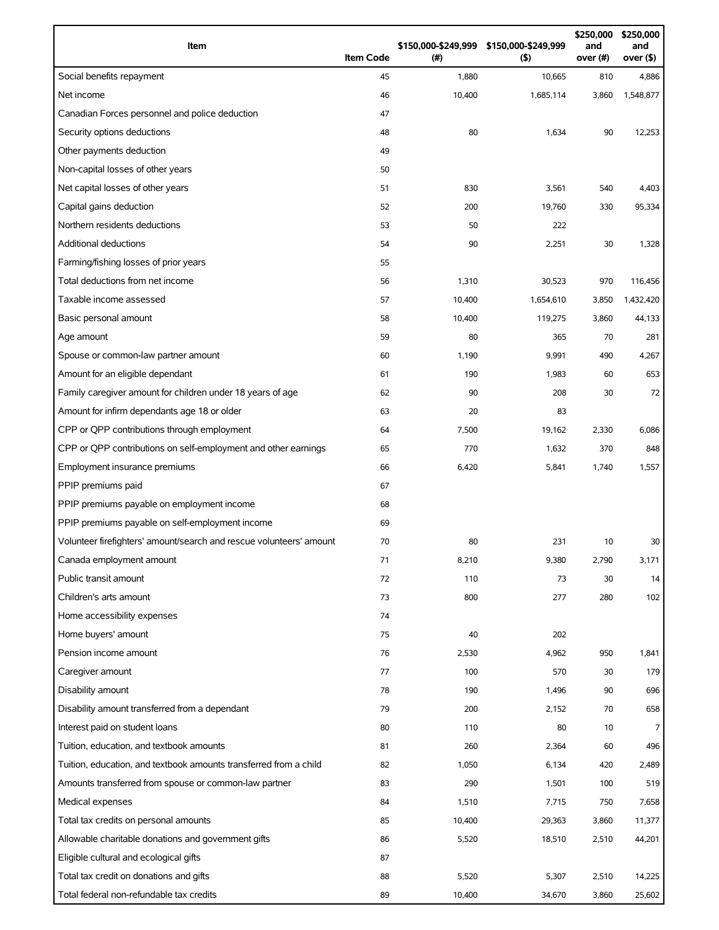| Item                                                                | <b>Item Code</b> | (#)    | \$150,000-\$249,999 \$150,000-\$249,999<br>(5) | \$250,000<br>and<br>over (#) | \$250,000<br>and<br>over (\$) |
|---------------------------------------------------------------------|------------------|--------|------------------------------------------------|------------------------------|-------------------------------|
| Social benefits repayment                                           | 45               | 1,880  | 10,665                                         | 810                          | 4,886                         |
| Net income                                                          | 46               | 10,400 | 1,685,114                                      | 3,860                        | 1,548,877                     |
| Canadian Forces personnel and police deduction                      | 47               |        |                                                |                              |                               |
| Security options deductions                                         | 48               | 80     | 1,634                                          | 90                           | 12,253                        |
| Other payments deduction                                            | 49               |        |                                                |                              |                               |
| Non-capital losses of other years                                   | 50               |        |                                                |                              |                               |
| Net capital losses of other years                                   | 51               | 830    | 3,561                                          | 540                          | 4,403                         |
| Capital gains deduction                                             | 52               | 200    | 19,760                                         | 330                          | 95,334                        |
| Northern residents deductions                                       | 53               | 50     | 222                                            |                              |                               |
| Additional deductions                                               | 54               | 90     | 2,251                                          | 30                           | 1,328                         |
| Farming/fishing losses of prior years                               | 55               |        |                                                |                              |                               |
| Total deductions from net income                                    | 56               | 1,310  | 30,523                                         | 970                          | 116,456                       |
| Taxable income assessed                                             | 57               | 10,400 | 1,654,610                                      | 3,850                        | 1,432,420                     |
| Basic personal amount                                               | 58               | 10,400 | 119,275                                        | 3,860                        | 44,133                        |
| Age amount                                                          | 59               | 80     | 365                                            | 70                           | 281                           |
| Spouse or common-law partner amount                                 | 60               | 1,190  | 9,991                                          | 490                          | 4,267                         |
| Amount for an eligible dependant                                    | 61               | 190    | 1,983                                          | 60                           | 653                           |
| Family caregiver amount for children under 18 years of age          | 62               | 90     | 208                                            | 30                           | 72                            |
| Amount for infirm dependants age 18 or older                        | 63               | 20     | 83                                             |                              |                               |
| CPP or QPP contributions through employment                         | 64               | 7,500  | 19,162                                         | 2,330                        | 6,086                         |
| CPP or QPP contributions on self-employment and other earnings      | 65               | 770    | 1,632                                          | 370                          | 848                           |
| Employment insurance premiums                                       | 66               | 6,420  | 5,841                                          | 1,740                        | 1,557                         |
| PPIP premiums paid                                                  | 67               |        |                                                |                              |                               |
| PPIP premiums payable on employment income                          | 68               |        |                                                |                              |                               |
| PPIP premiums payable on self-employment income                     | 69               |        |                                                |                              |                               |
| Volunteer firefighters' amount/search and rescue volunteers' amount | 70               | 80     | 231                                            | 10                           | 30                            |
| Canada employment amount                                            | 71               | 8,210  | 9,380                                          | 2,790                        | 3,171                         |
| Public transit amount                                               | 72               | 110    | 73                                             | 30                           | 14                            |
| Children's arts amount                                              | 73               | 800    | 277                                            | 280                          | 102                           |
| Home accessibility expenses                                         | 74               |        |                                                |                              |                               |
| Home buyers' amount                                                 | 75               | 40     | 202                                            |                              |                               |
| Pension income amount                                               | 76               | 2,530  | 4,962                                          | 950                          | 1,841                         |
| Caregiver amount                                                    | 77               | 100    | 570                                            | 30                           | 179                           |
| Disability amount                                                   | 78               | 190    | 1,496                                          | 90                           | 696                           |
| Disability amount transferred from a dependant                      | 79               | 200    | 2,152                                          | 70                           | 658                           |
| Interest paid on student loans                                      | 80               | 110    | 80                                             | 10                           | 7                             |
| Tuition, education, and textbook amounts                            | 81               | 260    | 2,364                                          | 60                           | 496                           |
| Tuition, education, and textbook amounts transferred from a child   | 82               | 1,050  | 6,134                                          | 420                          | 2,489                         |
| Amounts transferred from spouse or common-law partner               | 83               | 290    | 1,501                                          | 100                          | 519                           |
| Medical expenses                                                    | 84               | 1,510  | 7,715                                          | 750                          | 7,658                         |
| Total tax credits on personal amounts                               | 85               | 10,400 | 29,363                                         | 3,860                        | 11,377                        |
| Allowable charitable donations and government gifts                 | 86               | 5,520  | 18,510                                         | 2,510                        | 44,201                        |
| Eligible cultural and ecological gifts                              | 87               |        |                                                |                              |                               |
| Total tax credit on donations and gifts                             | 88               | 5,520  | 5,307                                          | 2,510                        | 14,225                        |
| Total federal non-refundable tax credits                            | 89               | 10,400 | 34,670                                         | 3,860                        | 25,602                        |